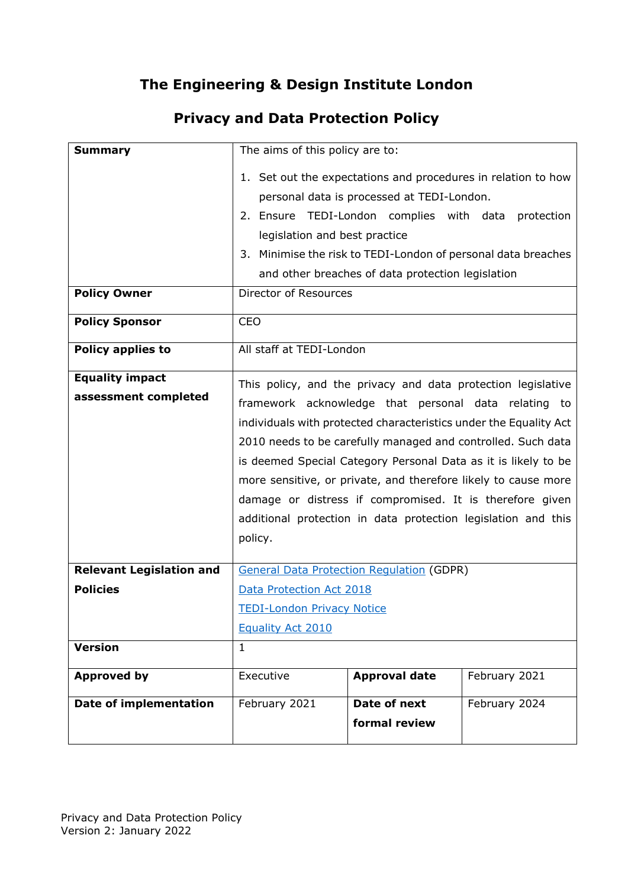## **The Engineering & Design Institute London**

## **Privacy and Data Protection Policy**

| <b>Summary</b>                  | The aims of this policy are to:                                   |                      |               |
|---------------------------------|-------------------------------------------------------------------|----------------------|---------------|
|                                 | 1. Set out the expectations and procedures in relation to how     |                      |               |
|                                 | personal data is processed at TEDI-London.                        |                      |               |
|                                 | 2. Ensure TEDI-London complies with data<br>protection            |                      |               |
|                                 | legislation and best practice                                     |                      |               |
|                                 | 3. Minimise the risk to TEDI-London of personal data breaches     |                      |               |
|                                 | and other breaches of data protection legislation                 |                      |               |
| <b>Policy Owner</b>             | Director of Resources                                             |                      |               |
|                                 | <b>CEO</b>                                                        |                      |               |
| <b>Policy Sponsor</b>           |                                                                   |                      |               |
| <b>Policy applies to</b>        | All staff at TEDI-London                                          |                      |               |
| <b>Equality impact</b>          |                                                                   |                      |               |
| assessment completed            | This policy, and the privacy and data protection legislative      |                      |               |
|                                 | framework acknowledge that personal data relating to              |                      |               |
|                                 | individuals with protected characteristics under the Equality Act |                      |               |
|                                 | 2010 needs to be carefully managed and controlled. Such data      |                      |               |
|                                 | is deemed Special Category Personal Data as it is likely to be    |                      |               |
|                                 | more sensitive, or private, and therefore likely to cause more    |                      |               |
|                                 | damage or distress if compromised. It is therefore given          |                      |               |
|                                 | additional protection in data protection legislation and this     |                      |               |
|                                 | policy.                                                           |                      |               |
| <b>Relevant Legislation and</b> | <b>General Data Protection Regulation (GDPR)</b>                  |                      |               |
| <b>Policies</b>                 | Data Protection Act 2018                                          |                      |               |
|                                 | <b>TEDI-London Privacy Notice</b>                                 |                      |               |
|                                 | Equality Act 2010                                                 |                      |               |
| <b>Version</b>                  | $\mathbf{1}$                                                      |                      |               |
| <b>Approved by</b>              | Executive                                                         | <b>Approval date</b> | February 2021 |
|                                 |                                                                   |                      |               |
| <b>Date of implementation</b>   | February 2021                                                     | Date of next         | February 2024 |
|                                 |                                                                   | formal review        |               |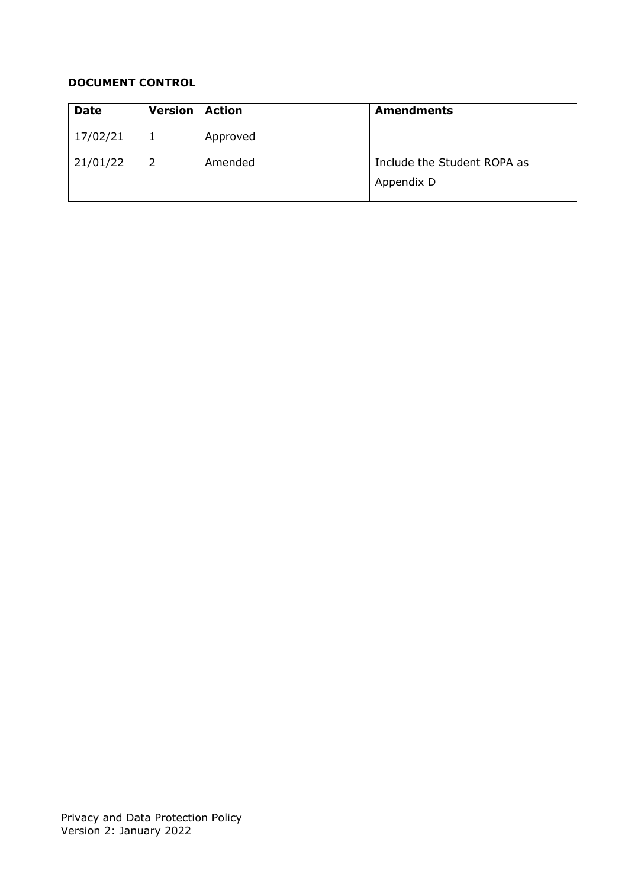### **DOCUMENT CONTROL**

| <b>Date</b> | Version | <b>Action</b> | <b>Amendments</b>           |
|-------------|---------|---------------|-----------------------------|
| 17/02/21    |         | Approved      |                             |
| 21/01/22    | 2       | Amended       | Include the Student ROPA as |
|             |         |               | Appendix D                  |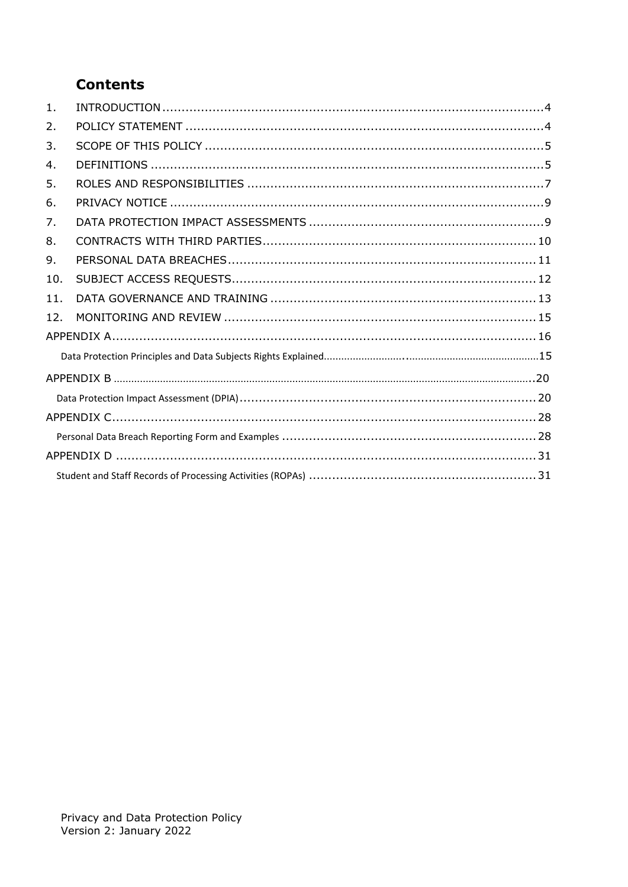## **Contents**

| 1.  |  |
|-----|--|
| 2.  |  |
| 3.  |  |
| 4.  |  |
| 5.  |  |
| 6.  |  |
| 7.  |  |
| 8.  |  |
| 9.  |  |
| 10. |  |
| 11. |  |
| 12. |  |
|     |  |
|     |  |
|     |  |
|     |  |
|     |  |
|     |  |
|     |  |
|     |  |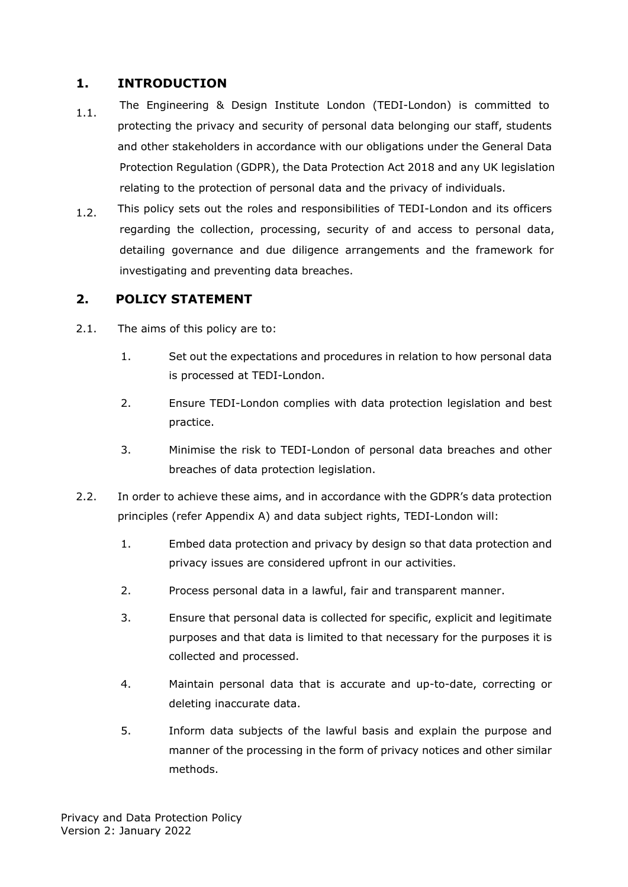#### <span id="page-3-0"></span>**1. INTRODUCTION**

- 1.1. The Engineering & Design Institute London (TEDI-London) is committed to protecting the privacy and security of personal data belonging our staff, students and other stakeholders in accordance with our obligations under the General Data Protection Regulation (GDPR), the Data Protection Act 2018 and any UK legislation relating to the protection of personal data and the privacy of individuals.
- 1.2. This policy sets out the roles and responsibilities of TEDI-London and its officers regarding the collection, processing, security of and access to personal data, detailing governance and due diligence arrangements and the framework for investigating and preventing data breaches.

## <span id="page-3-1"></span>**2. POLICY STATEMENT**

- 2.1. The aims of this policy are to:
	- 1. Set out the expectations and procedures in relation to how personal data is processed at TEDI-London.
	- 2. Ensure TEDI-London complies with data protection legislation and best practice.
	- 3. Minimise the risk to TEDI-London of personal data breaches and other breaches of data protection legislation.
- 2.2. In order to achieve these aims, and in accordance with the GDPR's data protection principles (refer Appendix A) and data subject rights, TEDI-London will:
	- 1. Embed data protection and privacy by design so that data protection and privacy issues are considered upfront in our activities.
	- 2. Process personal data in a lawful, fair and transparent manner.
	- 3. Ensure that personal data is collected for specific, explicit and legitimate purposes and that data is limited to that necessary for the purposes it is collected and processed.
	- 4. Maintain personal data that is accurate and up-to-date, correcting or deleting inaccurate data.
	- 5. Inform data subjects of the lawful basis and explain the purpose and manner of the processing in the form of privacy notices and other similar methods.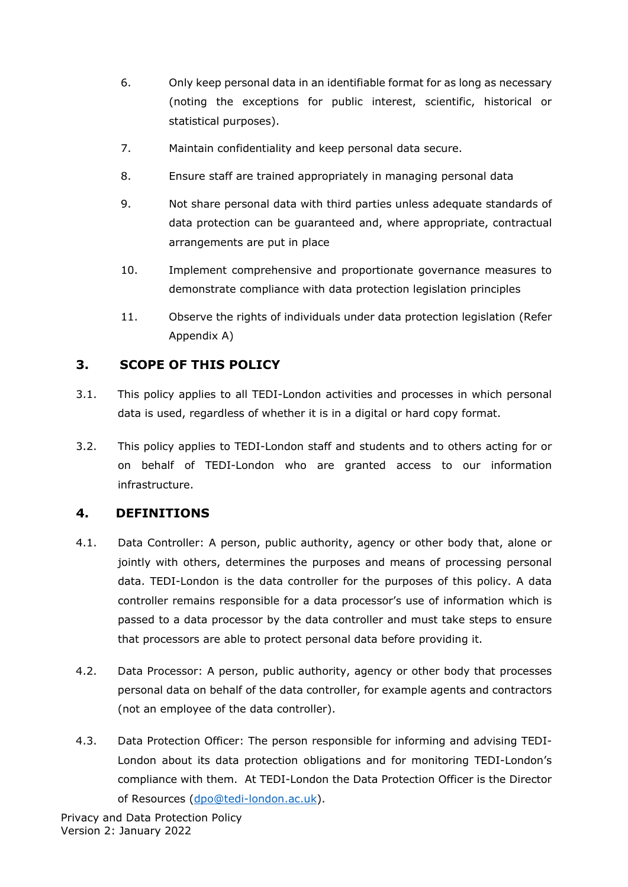- 6. Only keep personal data in an identifiable format for as long as necessary (noting the exceptions for public interest, scientific, historical or statistical purposes).
- 7. Maintain confidentiality and keep personal data secure.
- 8. Ensure staff are trained appropriately in managing personal data
- 9. Not share personal data with third parties unless adequate standards of data protection can be guaranteed and, where appropriate, contractual arrangements are put in place
- 10. Implement comprehensive and proportionate governance measures to demonstrate compliance with data protection legislation principles
- 11. Observe the rights of individuals under data protection legislation (Refer Appendix A)

## <span id="page-4-0"></span>**3. SCOPE OF THIS POLICY**

- 3.1. This policy applies to all TEDI-London activities and processes in which personal data is used, regardless of whether it is in a digital or hard copy format.
- 3.2. This policy applies to TEDI-London staff and students and to others acting for or on behalf of TEDI-London who are granted access to our information infrastructure.

## <span id="page-4-1"></span>**4. DEFINITIONS**

- 4.1. Data Controller: A person, public authority, agency or other body that, alone or jointly with others, determines the purposes and means of processing personal data. TEDI-London is the data controller for the purposes of this policy. A data controller remains responsible for a data processor's use of information which is passed to a data processor by the data controller and must take steps to ensure that processors are able to protect personal data before providing it.
- 4.2. Data Processor: A person, public authority, agency or other body that processes personal data on behalf of the data controller, for example agents and contractors (not an employee of the data controller).
- 4.3. Data Protection Officer: The person responsible for informing and advising TEDI-London about its data protection obligations and for monitoring TEDI-London's compliance with them. At TEDI-London the Data Protection Officer is the Director of Resources [\(dpo@tedi-london.ac.uk\)](mailto:dpo@tedi-london.ac.uk).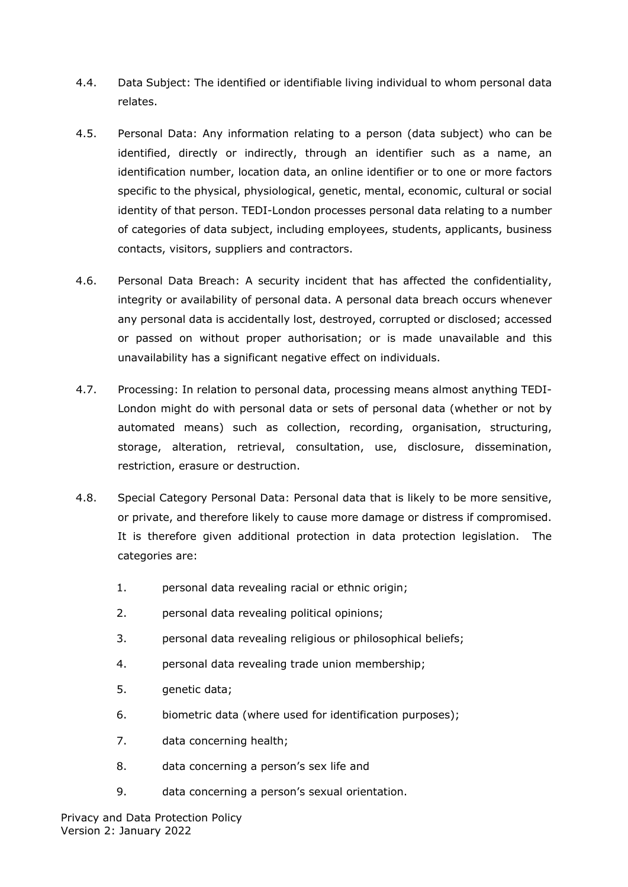- 4.4. Data Subject: The identified or identifiable living individual to whom personal data relates.
- 4.5. Personal Data: Any information relating to a person (data subject) who can be identified, directly or indirectly, through an identifier such as a name, an identification number, location data, an online identifier or to one or more factors specific to the physical, physiological, genetic, mental, economic, cultural or social identity of that person. TEDI-London processes personal data relating to a number of categories of data subject, including employees, students, applicants, business contacts, visitors, suppliers and contractors.
- 4.6. Personal Data Breach: A security incident that has affected the confidentiality, integrity or availability of personal data. A personal data breach occurs whenever any personal data is accidentally lost, destroyed, corrupted or disclosed; accessed or passed on without proper authorisation; or is made unavailable and this unavailability has a significant negative effect on individuals.
- 4.7. Processing: In relation to personal data, processing means almost anything TEDI-London might do with personal data or sets of personal data (whether or not by automated means) such as collection, recording, organisation, structuring, storage, alteration, retrieval, consultation, use, disclosure, dissemination, restriction, erasure or destruction.
- 4.8. Special Category Personal Data: Personal data that is likely to be more sensitive, or private, and therefore likely to cause more damage or distress if compromised. It is therefore given additional protection in data protection legislation. The categories are:
	- 1. personal data revealing racial or ethnic origin;
	- 2. personal data revealing political opinions;
	- 3. personal data revealing religious or philosophical beliefs;
	- 4. personal data revealing trade union membership;
	- 5. genetic data;
	- 6. biometric data (where used for identification purposes);
	- 7. data concerning health;
	- 8. data concerning a person's sex life and
	- 9. data concerning a person's sexual orientation.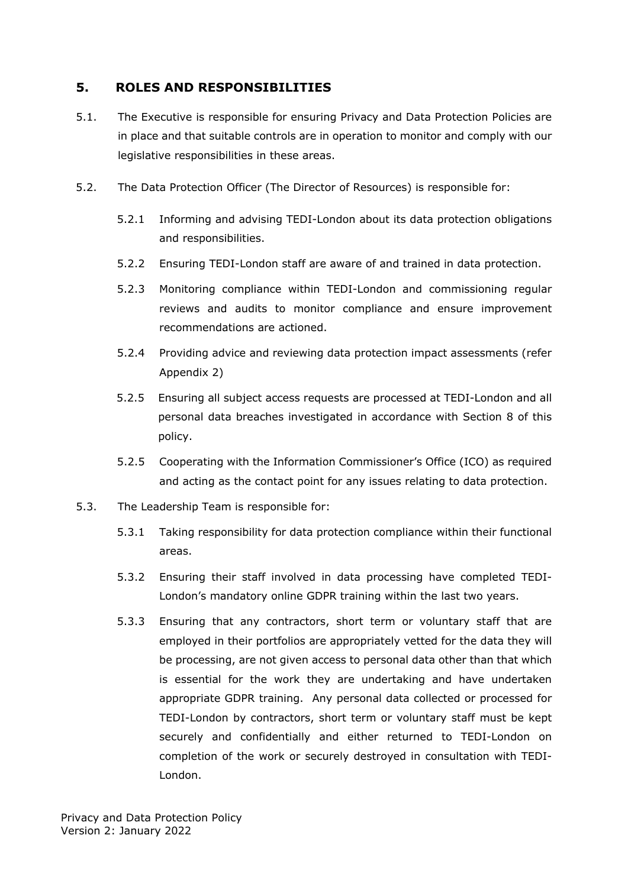### <span id="page-6-0"></span>**5. ROLES AND RESPONSIBILITIES**

- 5.1. The Executive is responsible for ensuring Privacy and Data Protection Policies are in place and that suitable controls are in operation to monitor and comply with our legislative responsibilities in these areas.
- 5.2. The Data Protection Officer (The Director of Resources) is responsible for:
	- 5.2.1 Informing and advising TEDI-London about its data protection obligations and responsibilities.
	- 5.2.2 Ensuring TEDI-London staff are aware of and trained in data protection.
	- 5.2.3 Monitoring compliance within TEDI-London and commissioning regular reviews and audits to monitor compliance and ensure improvement recommendations are actioned.
	- 5.2.4 Providing advice and reviewing data protection impact assessments (refer Appendix 2)
	- 5.2.5 Ensuring all subject access requests are processed at TEDI-London and all personal data breaches investigated in accordance with Section 8 of this policy.
	- 5.2.5 Cooperating with the Information Commissioner's Office (ICO) as required and acting as the contact point for any issues relating to data protection.
- 5.3. The Leadership Team is responsible for:
	- 5.3.1 Taking responsibility for data protection compliance within their functional areas.
	- 5.3.2 Ensuring their staff involved in data processing have completed TEDI-London's mandatory online GDPR training within the last two years.
	- 5.3.3 Ensuring that any contractors, short term or voluntary staff that are employed in their portfolios are appropriately vetted for the data they will be processing, are not given access to personal data other than that which is essential for the work they are undertaking and have undertaken appropriate GDPR training. Any personal data collected or processed for TEDI-London by contractors, short term or voluntary staff must be kept securely and confidentially and either returned to TEDI-London on completion of the work or securely destroyed in consultation with TEDI-London.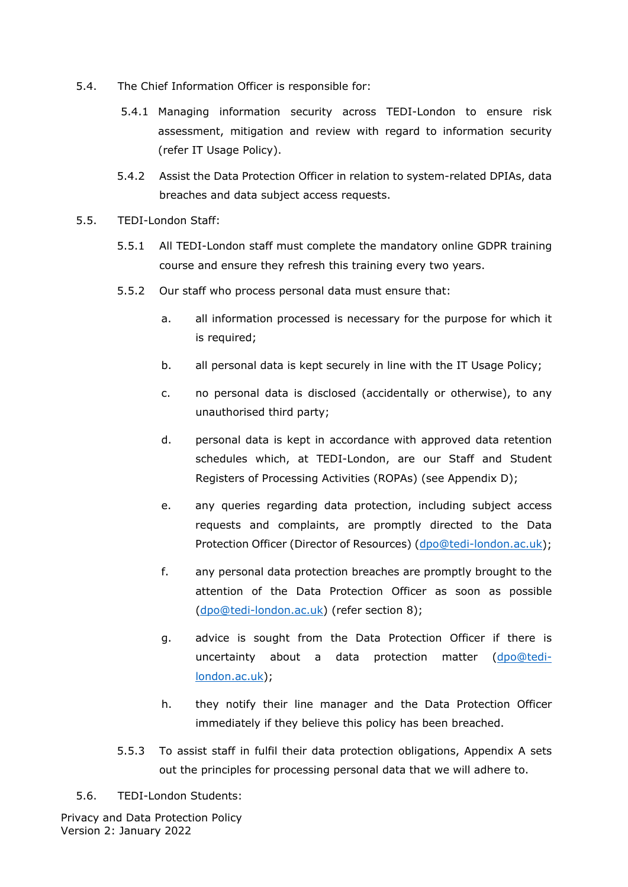- 5.4. The Chief Information Officer is responsible for:
	- 5.4.1 Managing information security across TEDI-London to ensure risk assessment, mitigation and review with regard to information security (refer IT Usage Policy).
	- 5.4.2 Assist the Data Protection Officer in relation to system-related DPIAs, data breaches and data subject access requests.
- 5.5. TEDI-London Staff:
	- 5.5.1 All TEDI-London staff must complete the mandatory online GDPR training course and ensure they refresh this training every two years.
	- 5.5.2 Our staff who process personal data must ensure that:
		- a. all information processed is necessary for the purpose for which it is required;
		- b. all personal data is kept securely in line with the IT Usage Policy;
		- c. no personal data is disclosed (accidentally or otherwise), to any unauthorised third party;
		- d. personal data is kept in accordance with approved data retention schedules which, at TEDI-London, are our Staff and Student Registers of Processing Activities (ROPAs) (see Appendix D);
		- e. any queries regarding data protection, including subject access requests and complaints, are promptly directed to the Data Protection Officer (Director of Resources) [\(dpo@tedi-london.ac.uk\)](mailto:dpo@tedi-london.ac.uk);
		- f. any personal data protection breaches are promptly brought to the attention of the Data Protection Officer as soon as possible [\(dpo@tedi-london.ac.uk\)](mailto:dpo@tedi-london.ac.uk) (refer section 8);
		- g. advice is sought from the Data Protection Officer if there is uncertainty about a data protection matter [\(dpo@tedi](mailto:dpo@tedi-london.ac.uk)[london.ac.uk\)](mailto:dpo@tedi-london.ac.uk);
		- h. they notify their line manager and the Data Protection Officer immediately if they believe this policy has been breached.
	- 5.5.3 To assist staff in fulfil their data protection obligations, Appendix A sets out the principles for processing personal data that we will adhere to.
- 5.6. TEDI-London Students:

Privacy and Data Protection Policy Version 2: January 2022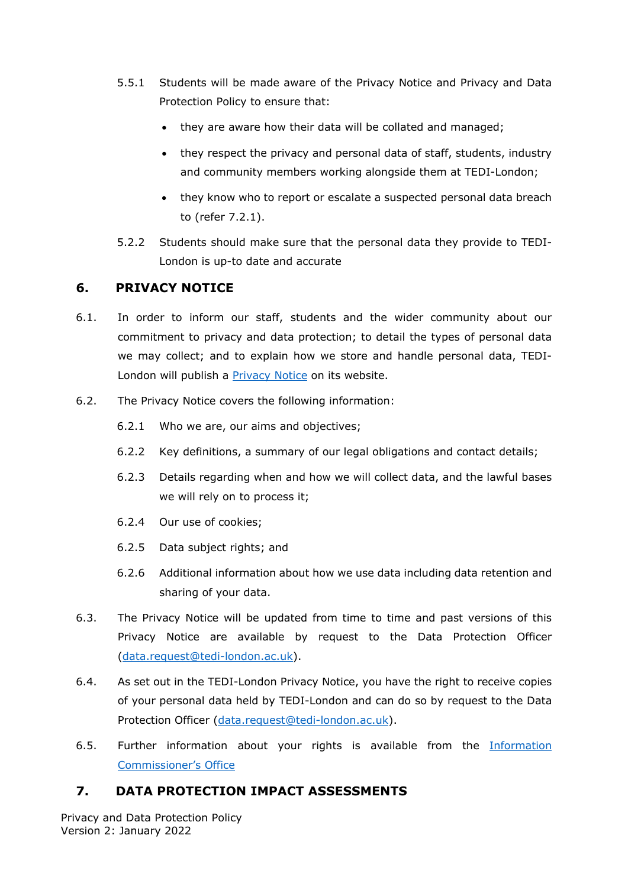- 5.5.1 Students will be made aware of the Privacy Notice and Privacy and Data Protection Policy to ensure that:
	- they are aware how their data will be collated and managed;
	- they respect the privacy and personal data of staff, students, industry and community members working alongside them at TEDI-London;
	- they know who to report or escalate a suspected personal data breach to (refer 7.2.1).
- 5.2.2 Students should make sure that the personal data they provide to TEDI-London is up-to date and accurate

### <span id="page-8-0"></span>**6. PRIVACY NOTICE**

- 6.1. In order to inform our staff, students and the wider community about our commitment to privacy and data protection; to detail the types of personal data we may collect; and to explain how we store and handle personal data, TEDI-London will publish a [Privacy Notice](https://tedi-london.ac.uk/privacy-policy/#:%7E:text=TEDI-London%20is%20committed%20to%20protecting%20the%20privacy%20and,and%20handle%20that%20data%20and%20keep%20it%20safe.) on its website.
- 6.2. The Privacy Notice covers the following information:
	- 6.2.1 Who we are, our aims and objectives;
	- 6.2.2 Key definitions, a summary of our legal obligations and contact details;
	- 6.2.3 Details regarding when and how we will collect data, and the lawful bases we will rely on to process it;
	- 6.2.4 Our use of cookies;
	- 6.2.5 Data subject rights; and
	- 6.2.6 Additional information about how we use data including data retention and sharing of your data.
- 6.3. The Privacy Notice will be updated from time to time and past versions of this Privacy Notice are available by request to the Data Protection Officer [\(data.request@tedi-london.ac.uk\)](mailto:data.request@tedi-london.ac.uk).
- 6.4. As set out in the TEDI-London Privacy Notice, you have the right to receive copies of your personal data held by TEDI-London and can do so by request to the Data Protection Officer [\(data.request@tedi-london.ac.uk\)](mailto:data.request@tedi-london.ac.uk).
- 6.5. Further information about your rights is available from the [Information](https://ico.org.uk/)  [Commissioner's Office](https://ico.org.uk/)

## <span id="page-8-1"></span>**7. DATA PROTECTION IMPACT ASSESSMENTS**

Privacy and Data Protection Policy Version 2: January 2022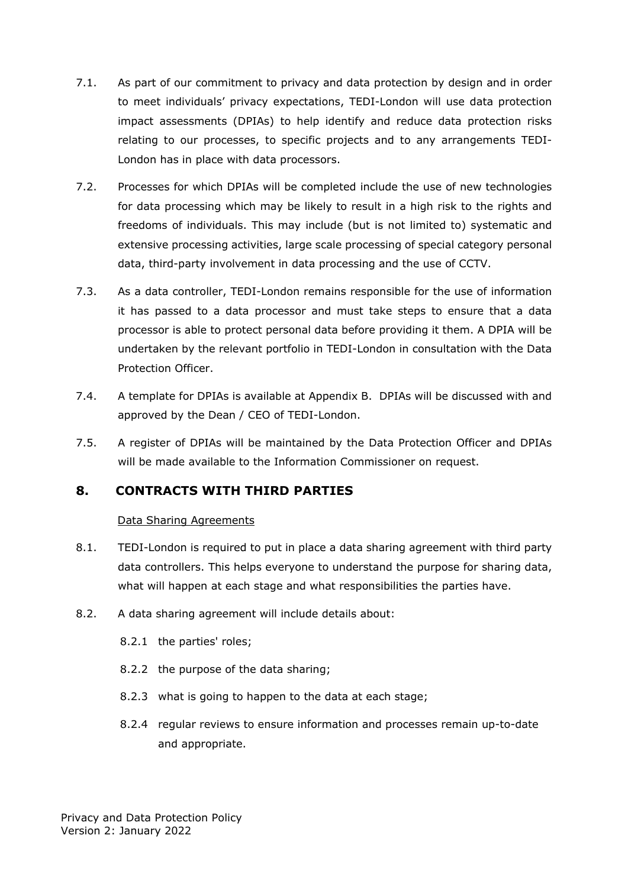- 7.1. As part of our commitment to privacy and data protection by design and in order to meet individuals' privacy expectations, TEDI-London will use data protection impact assessments (DPIAs) to help identify and reduce data protection risks relating to our processes, to specific projects and to any arrangements TEDI-London has in place with data processors.
- 7.2. Processes for which DPIAs will be completed include the use of new technologies for data processing which may be likely to result in a high risk to the rights and freedoms of individuals. This may include (but is not limited to) systematic and extensive processing activities, large scale processing of special category personal data, third-party involvement in data processing and the use of CCTV.
- 7.3. As a data controller, TEDI-London remains responsible for the use of information it has passed to a data processor and must take steps to ensure that a data processor is able to protect personal data before providing it them. A DPIA will be undertaken by the relevant portfolio in TEDI-London in consultation with the Data Protection Officer.
- 7.4. A template for DPIAs is available at Appendix B. DPIAs will be discussed with and approved by the Dean / CEO of TEDI-London.
- 7.5. A register of DPIAs will be maintained by the Data Protection Officer and DPIAs will be made available to the Information Commissioner on request.

## **8. CONTRACTS WITH THIRD PARTIES**

#### <span id="page-9-0"></span>Data Sharing Agreements

- 8.1. TEDI-London is required to put in place a data sharing agreement with third party data controllers. This helps everyone to understand the purpose for sharing data, what will happen at each stage and what responsibilities the parties have.
- 8.2. A data sharing agreement will include details about:
	- 8.2.1 the parties' roles;
	- 8.2.2 the purpose of the data sharing;
	- 8.2.3 what is going to happen to the data at each stage;
	- 8.2.4 regular reviews to ensure information and processes remain up-to-date and appropriate.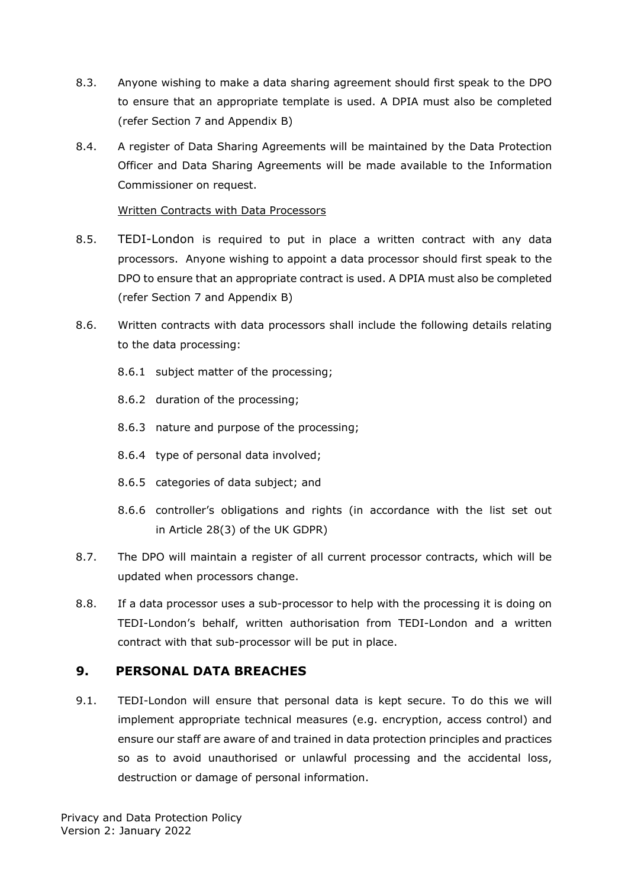- 8.3. Anyone wishing to make a data sharing agreement should first speak to the DPO to ensure that an appropriate template is used. A DPIA must also be completed (refer Section 7 and Appendix B)
- 8.4. A register of Data Sharing Agreements will be maintained by the Data Protection Officer and Data Sharing Agreements will be made available to the Information Commissioner on request.

#### Written Contracts with Data Processors

- 8.5. TEDI-London is required to put in place a written contract with any data processors. Anyone wishing to appoint a data processor should first speak to the DPO to ensure that an appropriate contract is used. A DPIA must also be completed (refer Section 7 and Appendix B)
- 8.6. Written contracts with data processors shall include the following details relating to the data processing:
	- 8.6.1 subject matter of the processing;
	- 8.6.2 duration of the processing;
	- 8.6.3 nature and purpose of the processing;
	- 8.6.4 type of personal data involved;
	- 8.6.5 categories of data subject; and
	- 8.6.6 controller's obligations and rights (in accordance with the list set out in [Article 28\(3\)](https://www.legislation.gov.uk/eur/2016/679/contents) of the UK GDPR)
- 8.7. The DPO will maintain a register of all current processor contracts, which will be updated when processors change.
- 8.8. If a data processor uses a sub-processor to help with the processing it is doing on TEDI-London's behalf, written authorisation from TEDI-London and a written contract with that sub-processor will be put in place.

### <span id="page-10-0"></span>**9. PERSONAL DATA BREACHES**

9.1. TEDI-London will ensure that personal data is kept secure. To do this we will implement appropriate technical measures (e.g. encryption, access control) and ensure our staff are aware of and trained in data protection principles and practices so as to avoid unauthorised or unlawful processing and the accidental loss, destruction or damage of personal information.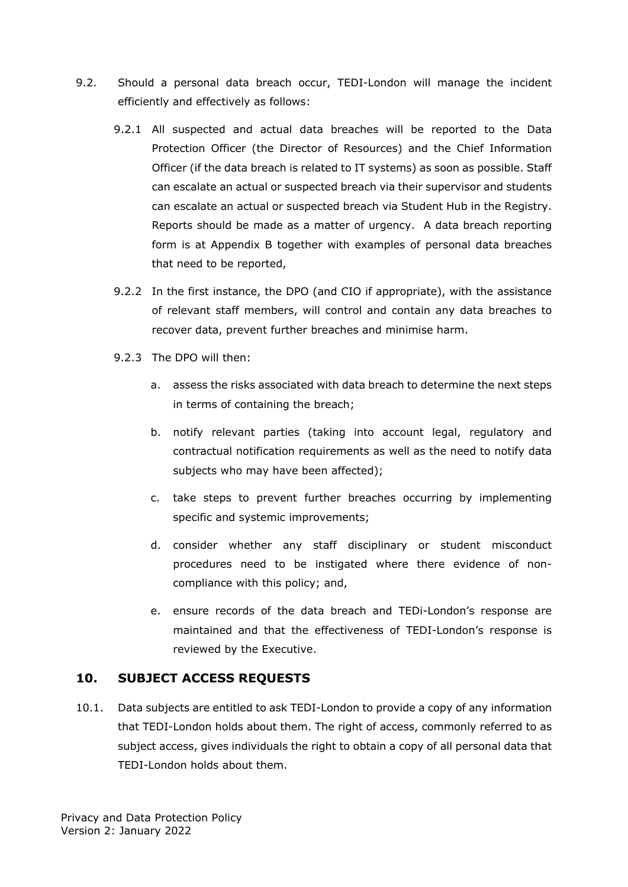- 9.2. Should a personal data breach occur, TEDI-London will manage the incident efficiently and effectively as follows:
	- 9.2.1 All suspected and actual data breaches will be reported to the Data Protection Officer (the Director of Resources) and the Chief Information Officer (if the data breach is related to IT systems) as soon as possible. Staff can escalate an actual or suspected breach via their supervisor and students can escalate an actual or suspected breach via Student Hub in the Registry. Reports should be made as a matter of urgency. A data breach reporting form is at Appendix B together with examples of personal data breaches that need to be reported,
	- 9.2.2 In the first instance, the DPO (and CIO if appropriate), with the assistance of relevant staff members, will control and contain any data breaches to recover data, prevent further breaches and minimise harm.
	- 9.2.3 The DPO will then:
		- a. assess the risks associated with data breach to determine the next steps in terms of containing the breach;
		- b. notify relevant parties (taking into account legal, regulatory and contractual notification requirements as well as the need to notify data subjects who may have been affected);
		- c. take steps to prevent further breaches occurring by implementing specific and systemic improvements;
		- d. consider whether any staff disciplinary or student misconduct procedures need to be instigated where there evidence of noncompliance with this policy; and,
		- e. ensure records of the data breach and TEDi-London's response are maintained and that the effectiveness of TEDI-London's response is reviewed by the Executive.

## <span id="page-11-0"></span>**10. SUBJECT ACCESS REQUESTS**

10.1. Data subjects are entitled to ask TEDI-London to provide a copy of any information that TEDI-London holds about them. The right of access, commonly referred to as subject access, gives individuals the right to obtain a copy of all personal data that TEDI-London holds about them.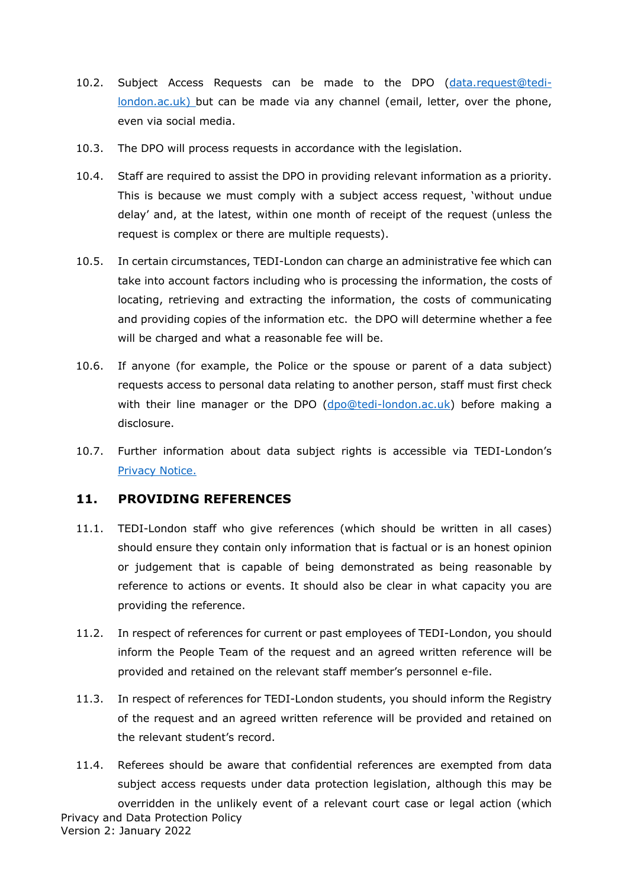- 10.2. Subject Access Requests can be made to the DPO [\(data.request@tedi](mailto:data.request@tedi-london.ac.uk)%20who)[london.ac.uk\) b](mailto:data.request@tedi-london.ac.uk)%20who)ut can be made via any channel (email, letter, over the phone, even via social media.
- 10.3. The DPO will process requests in accordance with the legislation.
- 10.4. Staff are required to assist the DPO in providing relevant information as a priority. This is because we must comply with a subject access request, 'without undue delay' and, at the latest, within one month of receipt of the request (unless the request is complex or there are multiple requests).
- 10.5. In certain circumstances, TEDI-London can charge an administrative fee which can take into account factors including who is processing the information, the costs of locating, retrieving and extracting the information, the costs of communicating and providing copies of the information etc. the DPO will determine whether a fee will be charged and what a reasonable fee will be.
- 10.6. If anyone (for example, the Police or the spouse or parent of a data subject) requests access to personal data relating to another person, staff must first check with their line manager or the DPO [\(dpo@tedi-london.ac.uk\)](mailto:dpo@tedi-london.ac.uk) before making a disclosure.
- 10.7. Further information about data subject rights is accessible via TEDI-London's [Privacy Notice.](https://tedi-london.ac.uk/privacy-policy/#:%7E:text=TEDI-London%20is%20committed%20to%20protecting%20the%20privacy%20and,and%20handle%20that%20data%20and%20keep%20it%20safe.)

#### **11. PROVIDING REFERENCES**

- <span id="page-12-0"></span>11.1. TEDI-London staff who give references (which should be written in all cases) should ensure they contain only information that is factual or is an honest opinion or judgement that is capable of being demonstrated as being reasonable by reference to actions or events. It should also be clear in what capacity you are providing the reference.
- 11.2. In respect of references for current or past employees of TEDI-London, you should inform the People Team of the request and an agreed written reference will be provided and retained on the relevant staff member's personnel e-file.
- 11.3. In respect of references for TEDI-London students, you should inform the Registry of the request and an agreed written reference will be provided and retained on the relevant student's record.
- Privacy and Data Protection Policy Version 2: January 2022 11.4. Referees should be aware that confidential references are exempted from data subject access requests under data protection legislation, although this may be overridden in the unlikely event of a relevant court case or legal action (which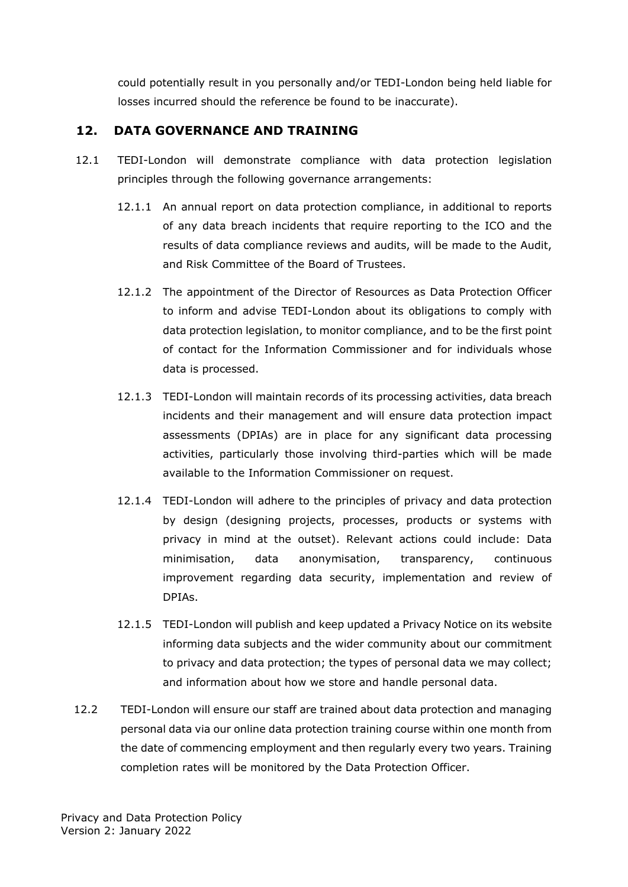could potentially result in you personally and/or TEDI-London being held liable for losses incurred should the reference be found to be inaccurate).

## **12. DATA GOVERNANCE AND TRAINING**

- 12.1 TEDI-London will demonstrate compliance with data protection legislation principles through the following governance arrangements:
	- 12.1.1 An annual report on data protection compliance, in additional to reports of any data breach incidents that require reporting to the ICO and the results of data compliance reviews and audits, will be made to the Audit, and Risk Committee of the Board of Trustees.
	- 12.1.2 The appointment of the Director of Resources as Data Protection Officer to inform and advise TEDI-London about its obligations to comply with data protection legislation, to monitor compliance, and to be the first point of contact for the Information Commissioner and for individuals whose data is processed.
	- 12.1.3 TEDI-London will maintain records of its processing activities, data breach incidents and their management and will ensure data protection impact assessments (DPIAs) are in place for any significant data processing activities, particularly those involving third-parties which will be made available to the Information Commissioner on request.
	- 12.1.4 TEDI-London will adhere to the principles of privacy and data protection by design (designing projects, processes, products or systems with privacy in mind at the outset). Relevant actions could include: Data minimisation, data anonymisation, transparency, continuous improvement regarding data security, implementation and review of DPIAs.
	- 12.1.5 TEDI-London will publish and keep updated a Privacy Notice on its website informing data subjects and the wider community about our commitment to privacy and data protection; the types of personal data we may collect; and information about how we store and handle personal data.
- 12.2 TEDI-London will ensure our staff are trained about data protection and managing personal data via our online data protection training course within one month from the date of commencing employment and then regularly every two years. Training completion rates will be monitored by the Data Protection Officer.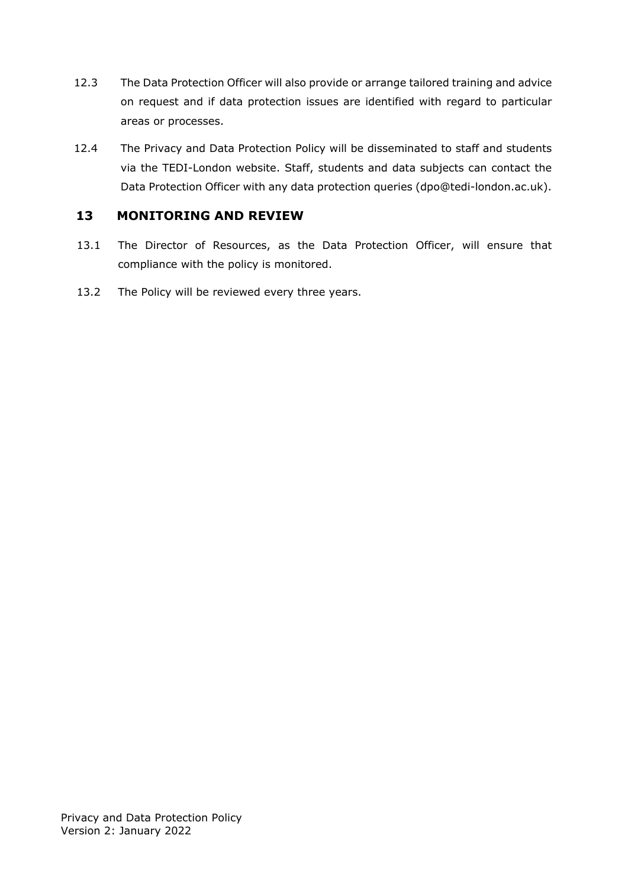- 12.3 The Data Protection Officer will also provide or arrange tailored training and advice on request and if data protection issues are identified with regard to particular areas or processes.
- 12.4 The Privacy and Data Protection Policy will be disseminated to staff and students via the TEDI-London website. Staff, students and data subjects can contact the Data Protection Officer with any data protection queries [\(dpo@tedi-london.ac.uk\)](mailto:dpo@tedi-london.ac.uk).

## <span id="page-14-0"></span>**13 MONITORING AND REVIEW**

- 13.1 The Director of Resources, as the Data Protection Officer, will ensure that compliance with the policy is monitored.
- 13.2 The Policy will be reviewed every three years.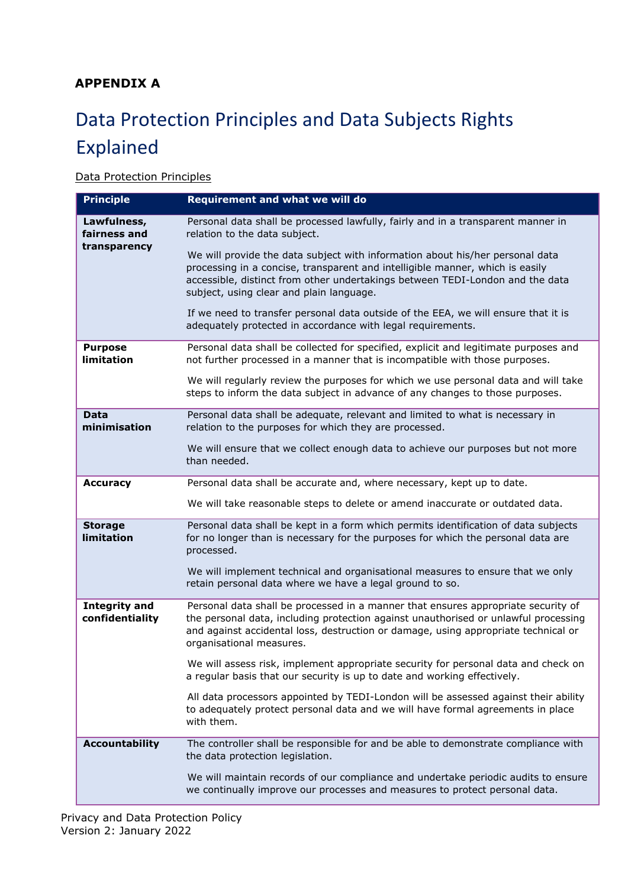## <span id="page-15-0"></span>**APPENDIX A**

# Data Protection Principles and Data Subjects Rights Explained

#### **Data Protection Principles**

| <b>Principle</b>                        | Requirement and what we will do                                                                                                                                                                                                                                                             |
|-----------------------------------------|---------------------------------------------------------------------------------------------------------------------------------------------------------------------------------------------------------------------------------------------------------------------------------------------|
| Lawfulness,<br>fairness and             | Personal data shall be processed lawfully, fairly and in a transparent manner in<br>relation to the data subject.                                                                                                                                                                           |
| transparency                            | We will provide the data subject with information about his/her personal data<br>processing in a concise, transparent and intelligible manner, which is easily<br>accessible, distinct from other undertakings between TEDI-London and the data<br>subject, using clear and plain language. |
|                                         | If we need to transfer personal data outside of the EEA, we will ensure that it is<br>adequately protected in accordance with legal requirements.                                                                                                                                           |
| <b>Purpose</b><br>limitation            | Personal data shall be collected for specified, explicit and legitimate purposes and<br>not further processed in a manner that is incompatible with those purposes.                                                                                                                         |
|                                         | We will regularly review the purposes for which we use personal data and will take<br>steps to inform the data subject in advance of any changes to those purposes.                                                                                                                         |
| <b>Data</b><br>minimisation             | Personal data shall be adequate, relevant and limited to what is necessary in<br>relation to the purposes for which they are processed.                                                                                                                                                     |
|                                         | We will ensure that we collect enough data to achieve our purposes but not more<br>than needed.                                                                                                                                                                                             |
| <b>Accuracy</b>                         | Personal data shall be accurate and, where necessary, kept up to date.                                                                                                                                                                                                                      |
|                                         | We will take reasonable steps to delete or amend inaccurate or outdated data.                                                                                                                                                                                                               |
| <b>Storage</b><br>limitation            | Personal data shall be kept in a form which permits identification of data subjects<br>for no longer than is necessary for the purposes for which the personal data are<br>processed.                                                                                                       |
|                                         | We will implement technical and organisational measures to ensure that we only<br>retain personal data where we have a legal ground to so.                                                                                                                                                  |
| <b>Integrity and</b><br>confidentiality | Personal data shall be processed in a manner that ensures appropriate security of<br>the personal data, including protection against unauthorised or unlawful processing<br>and against accidental loss, destruction or damage, using appropriate technical or<br>organisational measures.  |
|                                         | We will assess risk, implement appropriate security for personal data and check on<br>a regular basis that our security is up to date and working effectively.                                                                                                                              |
|                                         | All data processors appointed by TEDI-London will be assessed against their ability<br>to adequately protect personal data and we will have formal agreements in place<br>with them.                                                                                                        |
| <b>Accountability</b>                   | The controller shall be responsible for and be able to demonstrate compliance with<br>the data protection legislation.                                                                                                                                                                      |
|                                         | We will maintain records of our compliance and undertake periodic audits to ensure<br>we continually improve our processes and measures to protect personal data.                                                                                                                           |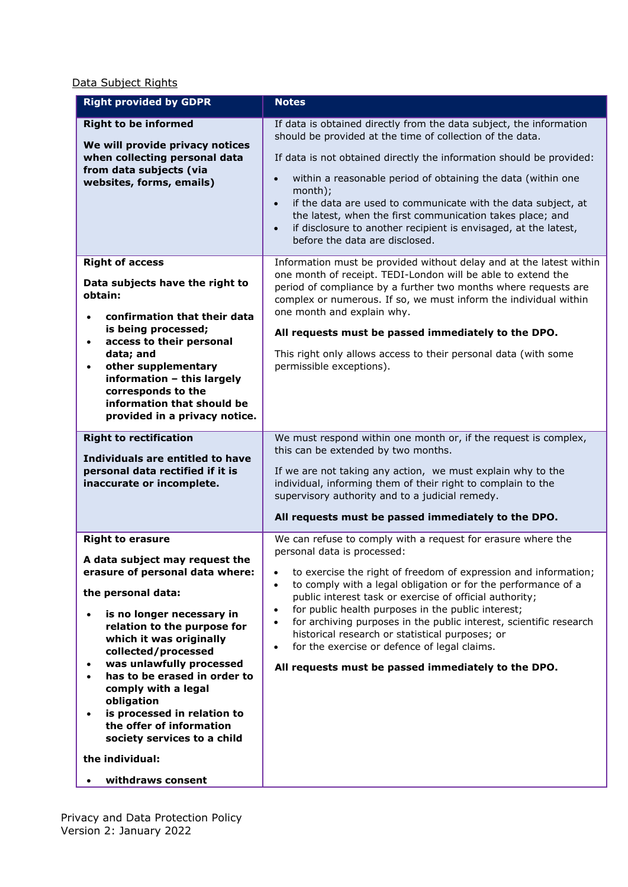Data Subject Rights

| <b>Right provided by GDPR</b>                                                                                                                                                                                                                                                                                                                                                                                                                                                    | <b>Notes</b>                                                                                                                                                                                                                                                                                                                                                                                                                                                                                                                                                                                                                                      |
|----------------------------------------------------------------------------------------------------------------------------------------------------------------------------------------------------------------------------------------------------------------------------------------------------------------------------------------------------------------------------------------------------------------------------------------------------------------------------------|---------------------------------------------------------------------------------------------------------------------------------------------------------------------------------------------------------------------------------------------------------------------------------------------------------------------------------------------------------------------------------------------------------------------------------------------------------------------------------------------------------------------------------------------------------------------------------------------------------------------------------------------------|
| <b>Right to be informed</b><br>We will provide privacy notices<br>when collecting personal data<br>from data subjects (via<br>websites, forms, emails)                                                                                                                                                                                                                                                                                                                           | If data is obtained directly from the data subject, the information<br>should be provided at the time of collection of the data.<br>If data is not obtained directly the information should be provided:<br>within a reasonable period of obtaining the data (within one<br>$\bullet$<br>month);<br>if the data are used to communicate with the data subject, at<br>$\bullet$<br>the latest, when the first communication takes place; and<br>if disclosure to another recipient is envisaged, at the latest,<br>$\bullet$<br>before the data are disclosed.                                                                                     |
| <b>Right of access</b><br>Data subjects have the right to<br>obtain:<br>confirmation that their data<br>is being processed;<br>access to their personal<br>data; and<br>other supplementary<br>information - this largely<br>corresponds to the<br>information that should be<br>provided in a privacy notice.                                                                                                                                                                   | Information must be provided without delay and at the latest within<br>one month of receipt. TEDI-London will be able to extend the<br>period of compliance by a further two months where requests are<br>complex or numerous. If so, we must inform the individual within<br>one month and explain why.<br>All requests must be passed immediately to the DPO.<br>This right only allows access to their personal data (with some<br>permissible exceptions).                                                                                                                                                                                    |
| <b>Right to rectification</b><br>Individuals are entitled to have<br>personal data rectified if it is<br>inaccurate or incomplete.                                                                                                                                                                                                                                                                                                                                               | We must respond within one month or, if the request is complex,<br>this can be extended by two months.<br>If we are not taking any action, we must explain why to the<br>individual, informing them of their right to complain to the<br>supervisory authority and to a judicial remedy.<br>All requests must be passed immediately to the DPO.                                                                                                                                                                                                                                                                                                   |
| <b>Right to erasure</b><br>A data subject may request the<br>erasure of personal data where:<br>the personal data:<br>is no longer necessary in<br>relation to the purpose for<br>which it was originally<br>collected/processed<br>was unlawfully processed<br>$\bullet$<br>has to be erased in order to<br>comply with a legal<br>obligation<br>is processed in relation to<br>the offer of information<br>society services to a child<br>the individual:<br>withdraws consent | We can refuse to comply with a request for erasure where the<br>personal data is processed:<br>to exercise the right of freedom of expression and information;<br>$\bullet$<br>to comply with a legal obligation or for the performance of a<br>$\bullet$<br>public interest task or exercise of official authority;<br>for public health purposes in the public interest;<br>$\bullet$<br>for archiving purposes in the public interest, scientific research<br>$\bullet$<br>historical research or statistical purposes; or<br>for the exercise or defence of legal claims.<br>$\bullet$<br>All requests must be passed immediately to the DPO. |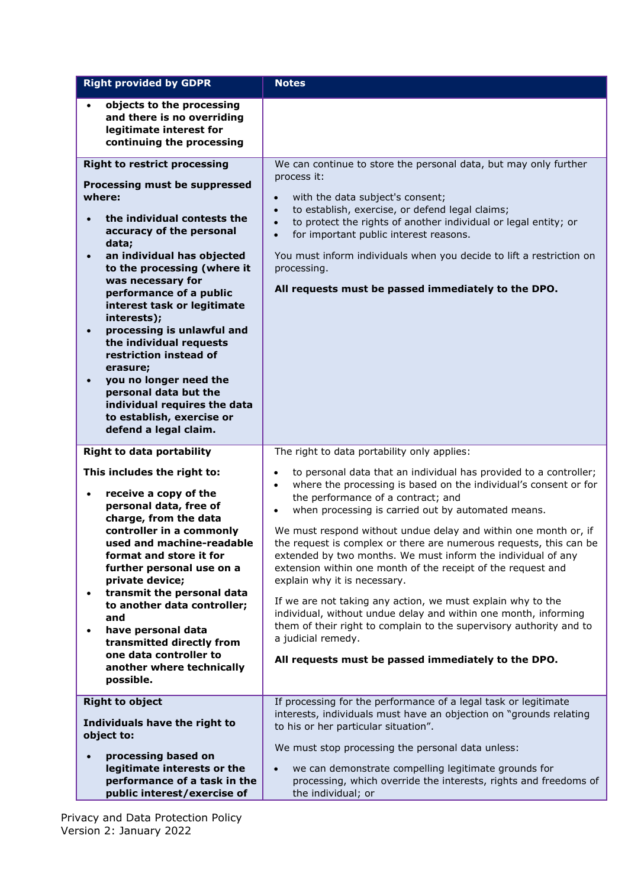| <b>Right provided by GDPR</b>                                                                                                                                                                                                                                                                                                                                                                                                                                                         | <b>Notes</b>                                                                                                                                                                                                                                                                                                                                                                                                      |
|---------------------------------------------------------------------------------------------------------------------------------------------------------------------------------------------------------------------------------------------------------------------------------------------------------------------------------------------------------------------------------------------------------------------------------------------------------------------------------------|-------------------------------------------------------------------------------------------------------------------------------------------------------------------------------------------------------------------------------------------------------------------------------------------------------------------------------------------------------------------------------------------------------------------|
| objects to the processing<br>and there is no overriding<br>legitimate interest for<br>continuing the processing                                                                                                                                                                                                                                                                                                                                                                       |                                                                                                                                                                                                                                                                                                                                                                                                                   |
| <b>Right to restrict processing</b>                                                                                                                                                                                                                                                                                                                                                                                                                                                   | We can continue to store the personal data, but may only further                                                                                                                                                                                                                                                                                                                                                  |
| Processing must be suppressed<br>where:<br>the individual contests the<br>accuracy of the personal<br>data;<br>an individual has objected<br>to the processing (where it<br>was necessary for<br>performance of a public<br>interest task or legitimate<br>interests);<br>processing is unlawful and<br>the individual requests<br>restriction instead of<br>erasure;<br>you no longer need the<br>personal data but the<br>individual requires the data<br>to establish, exercise or | process it:<br>with the data subject's consent;<br>$\bullet$<br>to establish, exercise, or defend legal claims;<br>$\bullet$<br>to protect the rights of another individual or legal entity; or<br>$\bullet$<br>for important public interest reasons.<br>$\bullet$<br>You must inform individuals when you decide to lift a restriction on<br>processing.<br>All requests must be passed immediately to the DPO. |
| defend a legal claim.                                                                                                                                                                                                                                                                                                                                                                                                                                                                 |                                                                                                                                                                                                                                                                                                                                                                                                                   |
| <b>Right to data portability</b>                                                                                                                                                                                                                                                                                                                                                                                                                                                      | The right to data portability only applies:                                                                                                                                                                                                                                                                                                                                                                       |
| This includes the right to:<br>receive a copy of the<br>personal data, free of                                                                                                                                                                                                                                                                                                                                                                                                        | to personal data that an individual has provided to a controller;<br>$\bullet$<br>where the processing is based on the individual's consent or for<br>$\bullet$<br>the performance of a contract; and<br>when processing is carried out by automated means.<br>$\bullet$                                                                                                                                          |
| charge, from the data<br>controller in a commonly<br>used and machine-readable<br>format and store it for<br>further personal use on a<br>private device;                                                                                                                                                                                                                                                                                                                             | We must respond without undue delay and within one month or, if<br>the request is complex or there are numerous requests, this can be<br>extended by two months. We must inform the individual of any<br>extension within one month of the receipt of the request and<br>explain why it is necessary.                                                                                                             |
| transmit the personal data<br>to another data controller;<br>and<br>have personal data<br>$\bullet$<br>transmitted directly from<br>one data controller to<br>another where technically<br>possible.                                                                                                                                                                                                                                                                                  | If we are not taking any action, we must explain why to the<br>individual, without undue delay and within one month, informing<br>them of their right to complain to the supervisory authority and to<br>a judicial remedy.<br>All requests must be passed immediately to the DPO.                                                                                                                                |
| <b>Right to object</b>                                                                                                                                                                                                                                                                                                                                                                                                                                                                | If processing for the performance of a legal task or legitimate                                                                                                                                                                                                                                                                                                                                                   |
| Individuals have the right to<br>object to:                                                                                                                                                                                                                                                                                                                                                                                                                                           | interests, individuals must have an objection on "grounds relating<br>to his or her particular situation".<br>We must stop processing the personal data unless:                                                                                                                                                                                                                                                   |
| processing based on                                                                                                                                                                                                                                                                                                                                                                                                                                                                   |                                                                                                                                                                                                                                                                                                                                                                                                                   |
| legitimate interests or the<br>performance of a task in the<br>public interest/exercise of                                                                                                                                                                                                                                                                                                                                                                                            | we can demonstrate compelling legitimate grounds for<br>$\bullet$<br>processing, which override the interests, rights and freedoms of<br>the individual; or                                                                                                                                                                                                                                                       |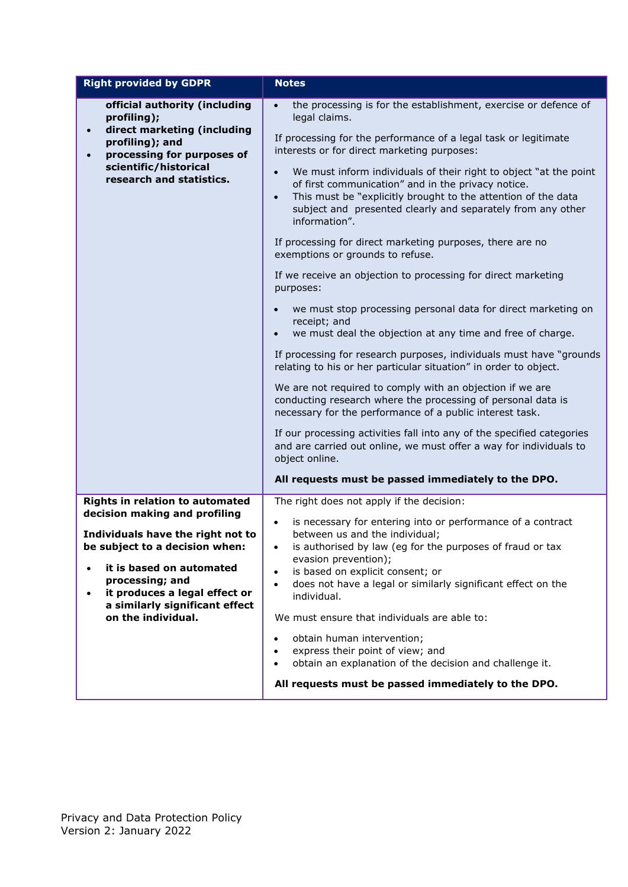| <b>Right provided by GDPR</b>                                                                                                                               | <b>Notes</b>                                                                                                                                                                                                                                                                                       |
|-------------------------------------------------------------------------------------------------------------------------------------------------------------|----------------------------------------------------------------------------------------------------------------------------------------------------------------------------------------------------------------------------------------------------------------------------------------------------|
| official authority (including<br>profiling);                                                                                                                | the processing is for the establishment, exercise or defence of<br>$\bullet$<br>legal claims.                                                                                                                                                                                                      |
| direct marketing (including<br>$\bullet$<br>profiling); and<br>processing for purposes of<br>$\bullet$<br>scientific/historical<br>research and statistics. | If processing for the performance of a legal task or legitimate<br>interests or for direct marketing purposes:                                                                                                                                                                                     |
|                                                                                                                                                             | We must inform individuals of their right to object "at the point<br>$\bullet$<br>of first communication" and in the privacy notice.<br>This must be "explicitly brought to the attention of the data<br>$\bullet$<br>subject and presented clearly and separately from any other<br>information". |
|                                                                                                                                                             | If processing for direct marketing purposes, there are no<br>exemptions or grounds to refuse.                                                                                                                                                                                                      |
|                                                                                                                                                             | If we receive an objection to processing for direct marketing<br>purposes:                                                                                                                                                                                                                         |
|                                                                                                                                                             | we must stop processing personal data for direct marketing on<br>receipt; and<br>we must deal the objection at any time and free of charge.<br>$\bullet$                                                                                                                                           |
|                                                                                                                                                             | If processing for research purposes, individuals must have "grounds<br>relating to his or her particular situation" in order to object.                                                                                                                                                            |
|                                                                                                                                                             | We are not required to comply with an objection if we are<br>conducting research where the processing of personal data is<br>necessary for the performance of a public interest task.                                                                                                              |
|                                                                                                                                                             | If our processing activities fall into any of the specified categories<br>and are carried out online, we must offer a way for individuals to<br>object online.                                                                                                                                     |
|                                                                                                                                                             | All requests must be passed immediately to the DPO.                                                                                                                                                                                                                                                |
| Rights in relation to automated                                                                                                                             | The right does not apply if the decision:                                                                                                                                                                                                                                                          |
| decision making and profiling                                                                                                                               | is necessary for entering into or performance of a contract<br>$\bullet$                                                                                                                                                                                                                           |
| Individuals have the right not to<br>be subject to a decision when:                                                                                         | between us and the individual;<br>is authorised by law (eg for the purposes of fraud or tax                                                                                                                                                                                                        |
| it is based on automated<br>$\bullet$                                                                                                                       | evasion prevention);<br>is based on explicit consent; or<br>$\bullet$                                                                                                                                                                                                                              |
| processing; and<br>it produces a legal effect or<br>$\bullet$                                                                                               | does not have a legal or similarly significant effect on the<br>$\bullet$<br>individual.                                                                                                                                                                                                           |
| a similarly significant effect<br>on the individual.                                                                                                        | We must ensure that individuals are able to:                                                                                                                                                                                                                                                       |
|                                                                                                                                                             | obtain human intervention;<br>express their point of view; and<br>obtain an explanation of the decision and challenge it.                                                                                                                                                                          |
|                                                                                                                                                             | All requests must be passed immediately to the DPO.                                                                                                                                                                                                                                                |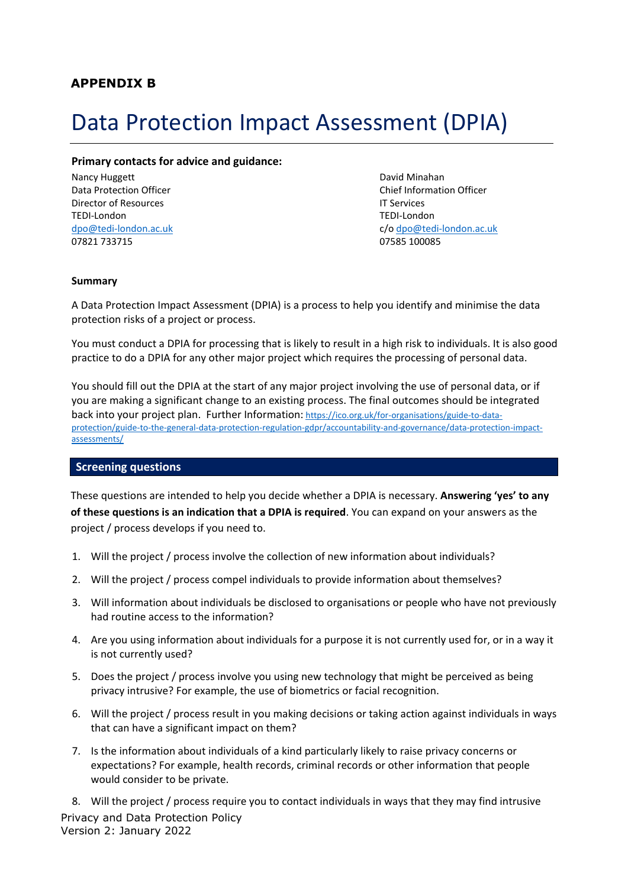# <span id="page-19-1"></span><span id="page-19-0"></span>Data Protection Impact Assessment (DPIA)

#### **Primary contacts for advice and guidance:**

Nancy Huggett **David Minahan** David Minahan Director of Resources **IT Services** TEDI-London TEDI-London 07821 733715 07585 100085

Data Protection Officer Chief Information Officer [dpo@tedi-london.ac.uk](mailto:dpo@tedi-london.ac.uk) c/[o dpo@tedi-london.ac.uk](mailto:dpo@tedi-london.ac.uk)

#### **Summary**

A Data Protection Impact Assessment (DPIA) is a process to help you identify and minimise the data protection risks of a project or process.

You must conduct a DPIA for processing that is likely to result in a high risk to individuals. It is also good practice to do a DPIA for any other major project which requires the processing of personal data.

You should fill out the DPIA at the start of any major project involving the use of personal data, or if you are making a significant change to an existing process. The final outcomes should be integrated back into your project plan. Further Information: [https://ico.org.uk/for-organisations/guide-to-data](https://ico.org.uk/for-organisations/guide-to-data-protection/guide-to-the-general-data-protection-regulation-gdpr/accountability-and-governance/data-protection-impact-assessments/)[protection/guide-to-the-general-data-protection-regulation-gdpr/accountability-and-governance/data-protection-impact](https://ico.org.uk/for-organisations/guide-to-data-protection/guide-to-the-general-data-protection-regulation-gdpr/accountability-and-governance/data-protection-impact-assessments/)[assessments/](https://ico.org.uk/for-organisations/guide-to-data-protection/guide-to-the-general-data-protection-regulation-gdpr/accountability-and-governance/data-protection-impact-assessments/)

#### **Screening questions**

These questions are intended to help you decide whether a DPIA is necessary. **Answering 'yes' to any of these questions is an indication that a DPIA is required**. You can expand on your answers as the project / process develops if you need to.

- 1. Will the project / process involve the collection of new information about individuals?
- 2. Will the project / process compel individuals to provide information about themselves?
- 3. Will information about individuals be disclosed to organisations or people who have not previously had routine access to the information?
- 4. Are you using information about individuals for a purpose it is not currently used for, or in a way it is not currently used?
- 5. Does the project / process involve you using new technology that might be perceived as being privacy intrusive? For example, the use of biometrics or facial recognition.
- 6. Will the project / process result in you making decisions or taking action against individuals in ways that can have a significant impact on them?
- 7. Is the information about individuals of a kind particularly likely to raise privacy concerns or expectations? For example, health records, criminal records or other information that people would consider to be private.

Privacy and Data Protection Policy Version 2: January 2022 8. Will the project / process require you to contact individuals in ways that they may find intrusive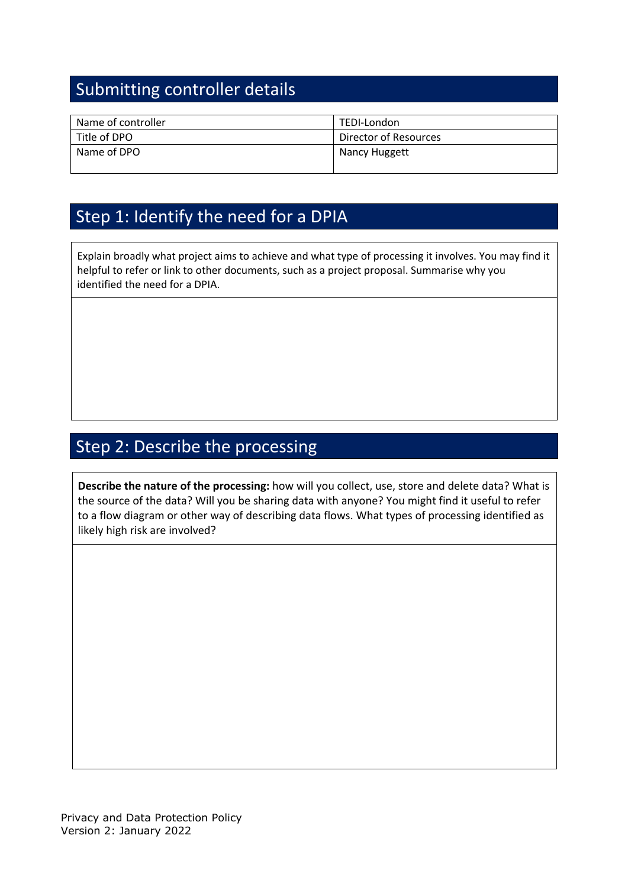# Submitting controller details

| Name of controller | TEDI-London           |
|--------------------|-----------------------|
| Title of DPO       | Director of Resources |
| Name of DPO        | Nancy Huggett         |

## Step 1: Identify the need for a DPIA

Explain broadly what project aims to achieve and what type of processing it involves. You may find it helpful to refer or link to other documents, such as a project proposal. Summarise why you identified the need for a DPIA.

# Step 2: Describe the processing

**Describe the nature of the processing:** how will you collect, use, store and delete data? What is the source of the data? Will you be sharing data with anyone? You might find it useful to refer to a flow diagram or other way of describing data flows. What types of processing identified as likely high risk are involved?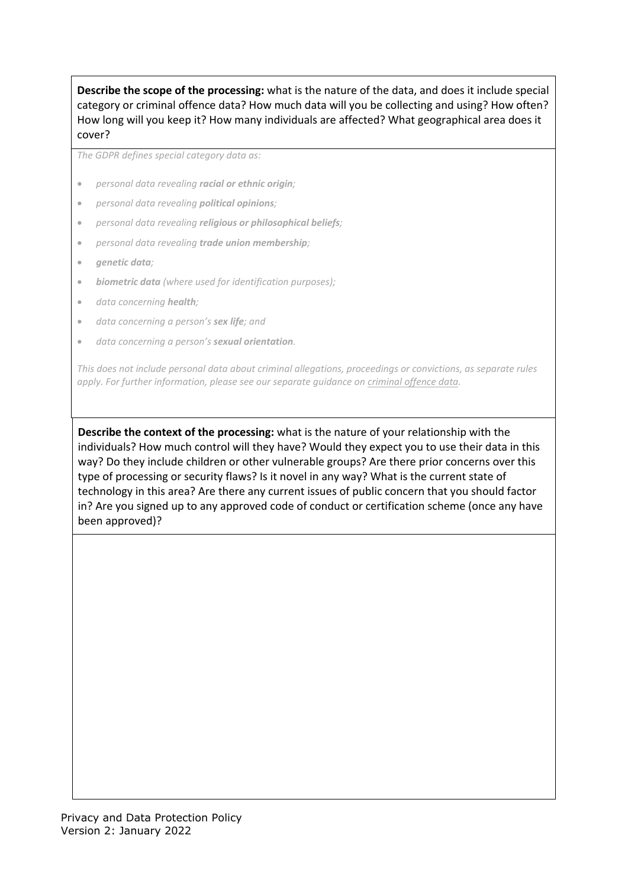**Describe the scope of the processing:** what is the nature of the data, and does it include special category or criminal offence data? How much data will you be collecting and using? How often? How long will you keep it? How many individuals are affected? What geographical area does it cover?

*The GDPR defines special category data as:*

- *personal data revealing racial or ethnic origin;*
- *personal data revealing political opinions;*
- *personal data revealing religious or philosophical beliefs;*
- *personal data revealing trade union membership;*
- *genetic data;*
- *biometric data (where used for identification purposes);*
- *data concerning health;*
- *data concerning a person's sex life; and*
- *data concerning a person's sexual orientation.*

*This does not include personal data about criminal allegations, proceedings or convictions, as separate rules apply. For further information, please see our separate guidance on [criminal offence data.](https://ico.org.uk/for-organisations/guide-to-data-protection/guide-to-the-general-data-protection-regulation-gdpr/lawful-basis-for-processing/criminal-offence-data/)*

**Describe the context of the processing:** what is the nature of your relationship with the individuals? How much control will they have? Would they expect you to use their data in this way? Do they include children or other vulnerable groups? Are there prior concerns over this type of processing or security flaws? Is it novel in any way? What is the current state of technology in this area? Are there any current issues of public concern that you should factor in? Are you signed up to any approved code of conduct or certification scheme (once any have been approved)?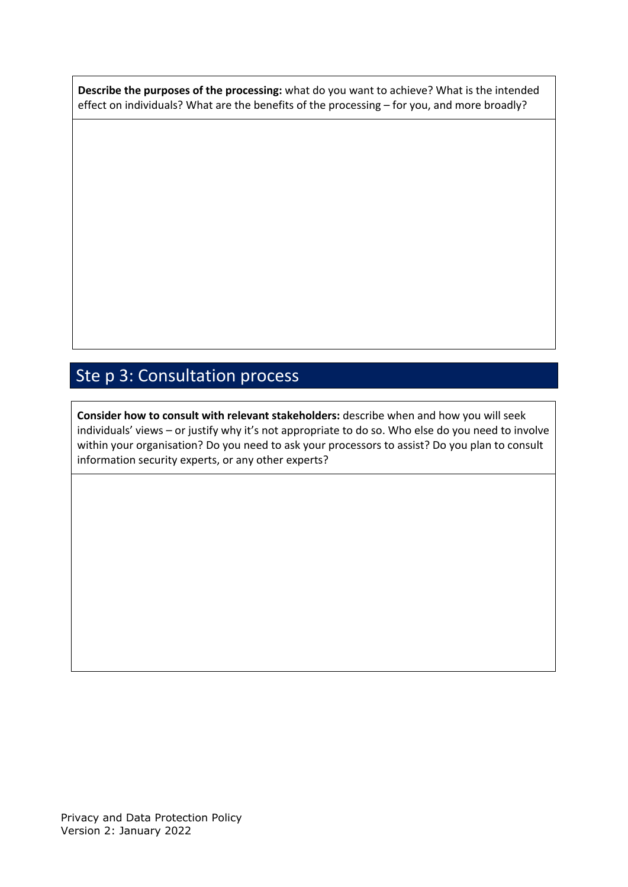**Describe the purposes of the processing:** what do you want to achieve? What is the intended effect on individuals? What are the benefits of the processing – for you, and more broadly?

# Ste p 3: Consultation process

**Consider how to consult with relevant stakeholders:** describe when and how you will seek individuals' views – or justify why it's not appropriate to do so. Who else do you need to involve within your organisation? Do you need to ask your processors to assist? Do you plan to consult information security experts, or any other experts?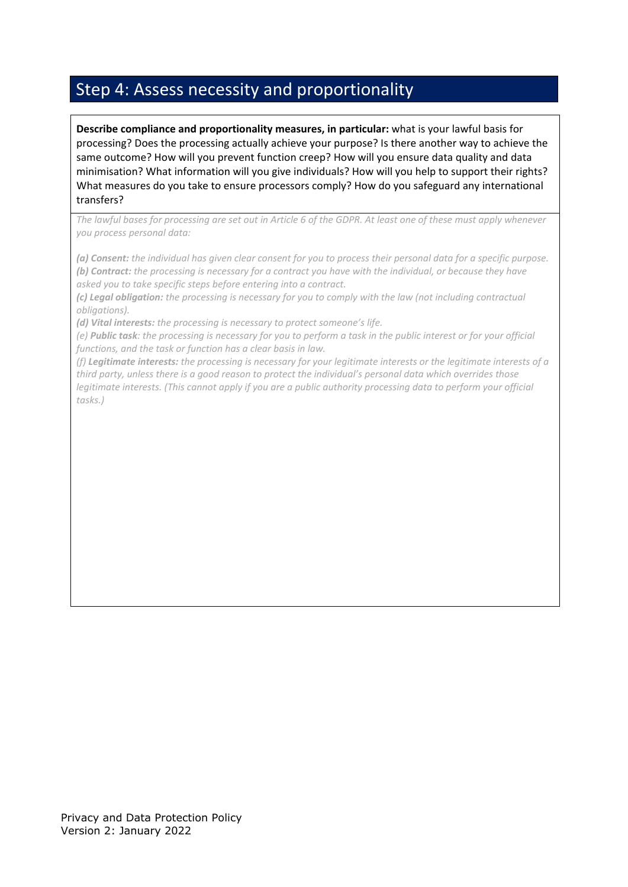## Step 4: Assess necessity and proportionality

**Describe compliance and proportionality measures, in particular:** what is your lawful basis for processing? Does the processing actually achieve your purpose? Is there another way to achieve the same outcome? How will you prevent function creep? How will you ensure data quality and data minimisation? What information will you give individuals? How will you help to support their rights? What measures do you take to ensure processors comply? How do you safeguard any international transfers?

*The lawful bases for processing are set out in Article 6 of the GDPR. At least one of these must apply whenever you process personal data:*

*(a) Consent: the individual has given clear consent for you to process their personal data for a specific purpose. (b) Contract: the processing is necessary for a contract you have with the individual, or because they have asked you to take specific steps before entering into a contract.*

*(c) Legal obligation: the processing is necessary for you to comply with the law (not including contractual obligations).*

*(d) Vital interests: the processing is necessary to protect someone's life.*

*(e) Public task: the processing is necessary for you to perform a task in the public interest or for your official functions, and the task or function has a clear basis in law.*

*(f) Legitimate interests: the processing is necessary for your legitimate interests or the legitimate interests of a third party, unless there is a good reason to protect the individual's personal data which overrides those legitimate interests. (This cannot apply if you are a public authority processing data to perform your official tasks.)*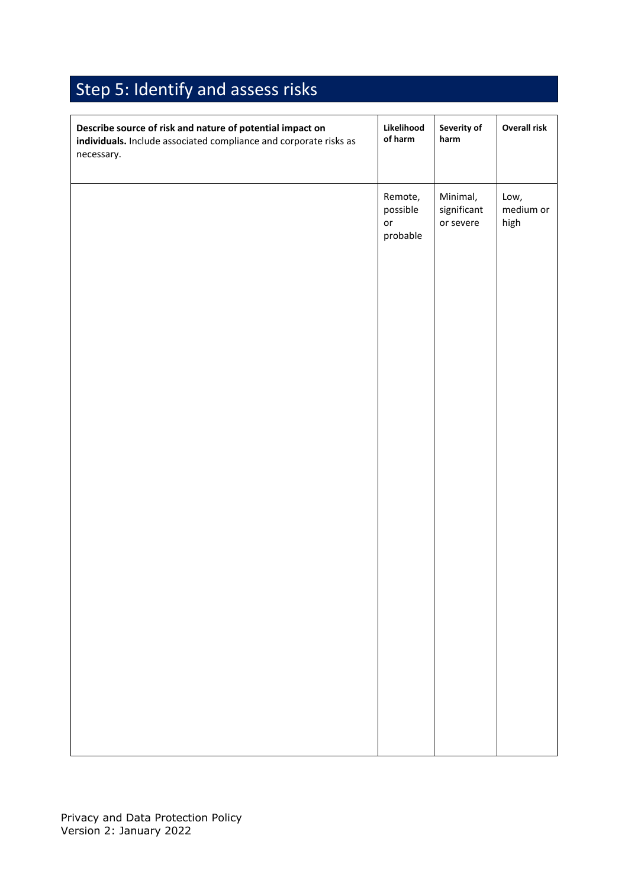# Step 5: Identify and assess risks

| Describe source of risk and nature of potential impact on<br>individuals. Include associated compliance and corporate risks as<br>necessary. | Likelihood<br>of harm                 | Severity of<br>harm                  | <b>Overall risk</b>       |
|----------------------------------------------------------------------------------------------------------------------------------------------|---------------------------------------|--------------------------------------|---------------------------|
|                                                                                                                                              | Remote,<br>possible<br>or<br>probable | Minimal,<br>significant<br>or severe | Low,<br>medium or<br>high |
|                                                                                                                                              |                                       |                                      |                           |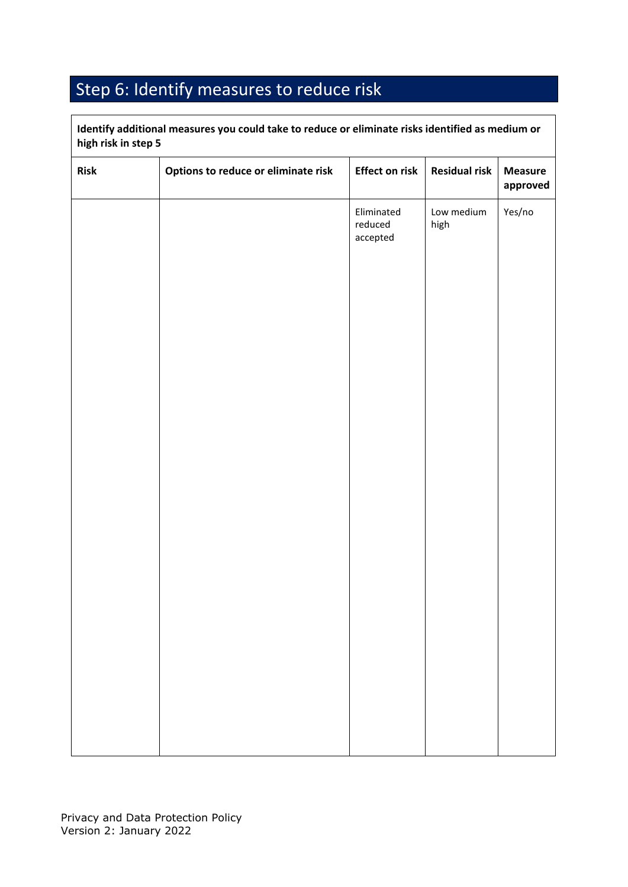# Step 6: Identify measures to reduce risk

| <b>Risk</b> | Options to reduce or eliminate risk | <b>Effect on risk</b>             | <b>Residual risk</b> | <b>Measure</b><br>approved |
|-------------|-------------------------------------|-----------------------------------|----------------------|----------------------------|
|             |                                     | Eliminated<br>reduced<br>accepted | Low medium<br>high   | Yes/no                     |
|             |                                     |                                   |                      |                            |
|             |                                     |                                   |                      |                            |
|             |                                     |                                   |                      |                            |
|             |                                     |                                   |                      |                            |
|             |                                     |                                   |                      |                            |
|             |                                     |                                   |                      |                            |
|             |                                     |                                   |                      |                            |

**Identify additional measures you could take to reduce or eliminate risks identified as medium or**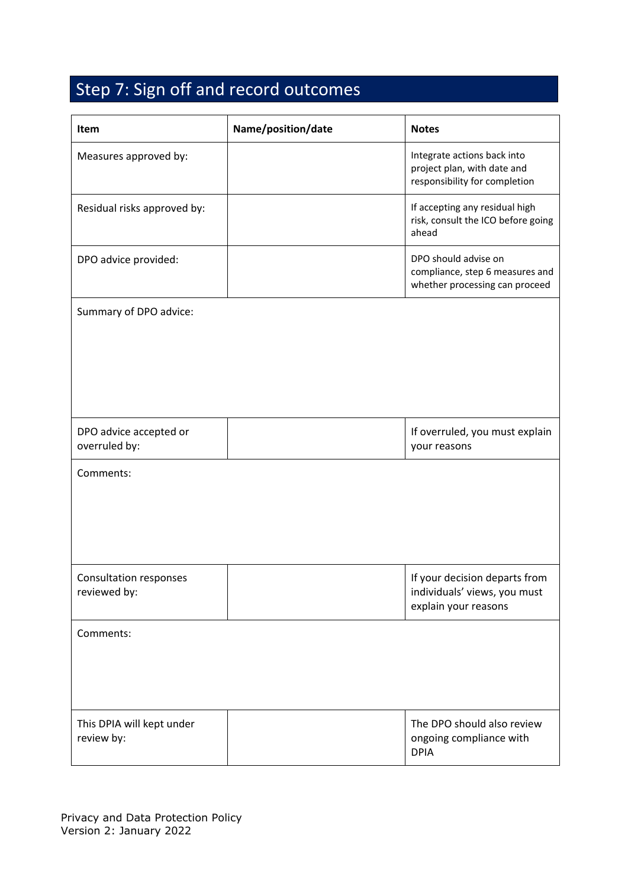# Step 7: Sign off and record outcomes

| Item                                          | Name/position/date | <b>Notes</b>                                                                                |
|-----------------------------------------------|--------------------|---------------------------------------------------------------------------------------------|
| Measures approved by:                         |                    | Integrate actions back into<br>project plan, with date and<br>responsibility for completion |
| Residual risks approved by:                   |                    | If accepting any residual high<br>risk, consult the ICO before going<br>ahead               |
| DPO advice provided:                          |                    | DPO should advise on<br>compliance, step 6 measures and<br>whether processing can proceed   |
| Summary of DPO advice:                        |                    |                                                                                             |
|                                               |                    |                                                                                             |
|                                               |                    |                                                                                             |
|                                               |                    |                                                                                             |
| DPO advice accepted or                        |                    | If overruled, you must explain                                                              |
| overruled by:                                 |                    | your reasons                                                                                |
| Comments:                                     |                    |                                                                                             |
|                                               |                    |                                                                                             |
|                                               |                    |                                                                                             |
|                                               |                    |                                                                                             |
| <b>Consultation responses</b><br>reviewed by: |                    | If your decision departs from<br>individuals' views, you must<br>explain your reasons       |
| Comments:                                     |                    |                                                                                             |
|                                               |                    |                                                                                             |
|                                               |                    |                                                                                             |
| This DPIA will kept under<br>review by:       |                    | The DPO should also review<br>ongoing compliance with<br><b>DPIA</b>                        |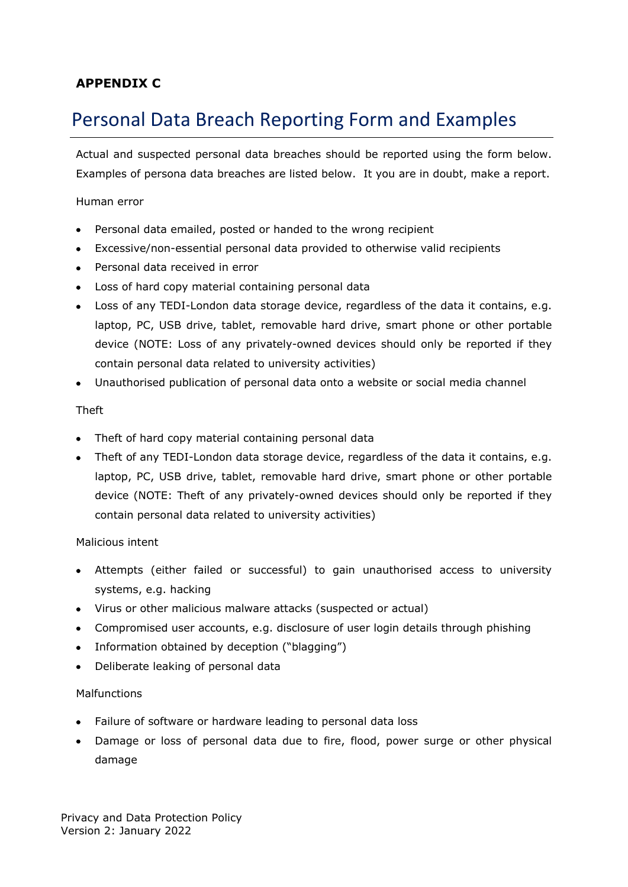## <span id="page-27-0"></span>**APPENDIX C**

# <span id="page-27-1"></span>Personal Data Breach Reporting Form and Examples

Actual and suspected personal data breaches should be reported using the form below. Examples of persona data breaches are listed below. It you are in doubt, make a report.

Human error

- Personal data emailed, posted or handed to the wrong recipient
- Excessive/non-essential personal data provided to otherwise valid recipients
- Personal data received in error
- Loss of hard copy material containing personal data
- Loss of any TEDI-London data storage device, regardless of the data it contains, e.g. laptop, PC, USB drive, tablet, removable hard drive, smart phone or other portable device (NOTE: Loss of any privately-owned devices should only be reported if they contain personal data related to university activities)
- Unauthorised publication of personal data onto a website or social media channel

#### Theft

- Theft of hard copy material containing personal data
- Theft of any TEDI-London data storage device, regardless of the data it contains, e.g. laptop, PC, USB drive, tablet, removable hard drive, smart phone or other portable device (NOTE: Theft of any privately-owned devices should only be reported if they contain personal data related to university activities)

Malicious intent

- Attempts (either failed or successful) to gain unauthorised access to university systems, e.g. hacking
- Virus or other malicious malware attacks (suspected or actual)
- Compromised user accounts, e.g. disclosure of user login details through phishing
- Information obtained by deception ("blagging")
- Deliberate leaking of personal data

#### Malfunctions

- Failure of software or hardware leading to personal data loss
- Damage or loss of personal data due to fire, flood, power surge or other physical damage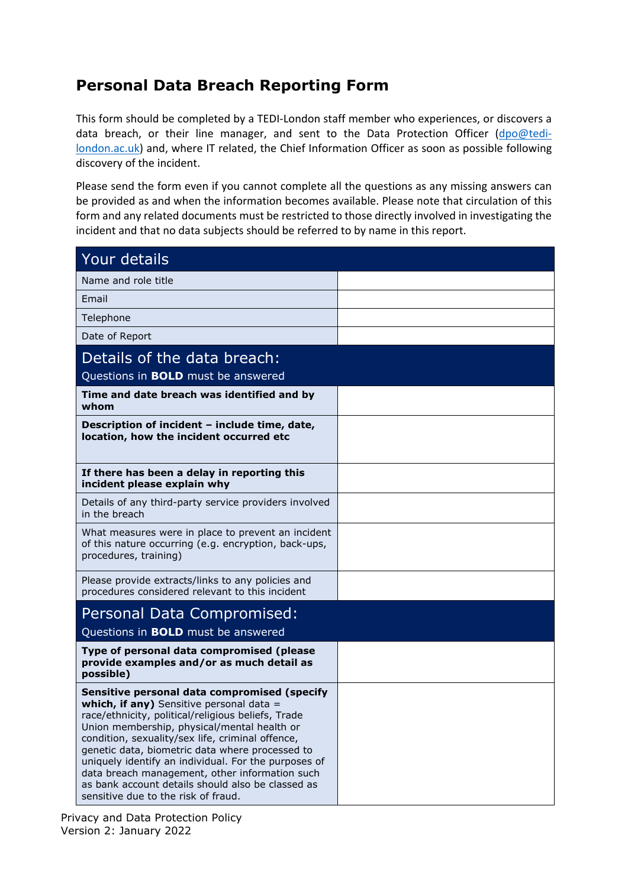## **Personal Data Breach Reporting Form**

This form should be completed by a TEDI-London staff member who experiences, or discovers a data breach, or their line manager, and sent to the Data Protection Officer [\(dpo@tedi](mailto:dpo@tedi-london.ac.uk)[london.ac.uk\)](mailto:dpo@tedi-london.ac.uk) and, where IT related, the Chief Information Officer as soon as possible following discovery of the incident.

Please send the form even if you cannot complete all the questions as any missing answers can be provided as and when the information becomes available. Please note that circulation of this form and any related documents must be restricted to those directly involved in investigating the incident and that no data subjects should be referred to by name in this report.

| Your details                                                                                                                                                                                                                                                                                                                                                                                                                                                                                               |  |
|------------------------------------------------------------------------------------------------------------------------------------------------------------------------------------------------------------------------------------------------------------------------------------------------------------------------------------------------------------------------------------------------------------------------------------------------------------------------------------------------------------|--|
| Name and role title                                                                                                                                                                                                                                                                                                                                                                                                                                                                                        |  |
| Email                                                                                                                                                                                                                                                                                                                                                                                                                                                                                                      |  |
| Telephone                                                                                                                                                                                                                                                                                                                                                                                                                                                                                                  |  |
| Date of Report                                                                                                                                                                                                                                                                                                                                                                                                                                                                                             |  |
| Details of the data breach:                                                                                                                                                                                                                                                                                                                                                                                                                                                                                |  |
| Questions in <b>BOLD</b> must be answered                                                                                                                                                                                                                                                                                                                                                                                                                                                                  |  |
| Time and date breach was identified and by<br>whom                                                                                                                                                                                                                                                                                                                                                                                                                                                         |  |
| Description of incident - include time, date,<br>location, how the incident occurred etc                                                                                                                                                                                                                                                                                                                                                                                                                   |  |
| If there has been a delay in reporting this<br>incident please explain why                                                                                                                                                                                                                                                                                                                                                                                                                                 |  |
| Details of any third-party service providers involved<br>in the breach                                                                                                                                                                                                                                                                                                                                                                                                                                     |  |
| What measures were in place to prevent an incident<br>of this nature occurring (e.g. encryption, back-ups,<br>procedures, training)                                                                                                                                                                                                                                                                                                                                                                        |  |
| Please provide extracts/links to any policies and<br>procedures considered relevant to this incident                                                                                                                                                                                                                                                                                                                                                                                                       |  |
| Personal Data Compromised:                                                                                                                                                                                                                                                                                                                                                                                                                                                                                 |  |
| Questions in <b>BOLD</b> must be answered                                                                                                                                                                                                                                                                                                                                                                                                                                                                  |  |
| Type of personal data compromised (please<br>provide examples and/or as much detail as<br>possible)                                                                                                                                                                                                                                                                                                                                                                                                        |  |
| Sensitive personal data compromised (specify<br>which, if any) Sensitive personal data =<br>race/ethnicity, political/religious beliefs, Trade<br>Union membership, physical/mental health or<br>condition, sexuality/sex life, criminal offence,<br>genetic data, biometric data where processed to<br>uniquely identify an individual. For the purposes of<br>data breach management, other information such<br>as bank account details should also be classed as<br>sensitive due to the risk of fraud. |  |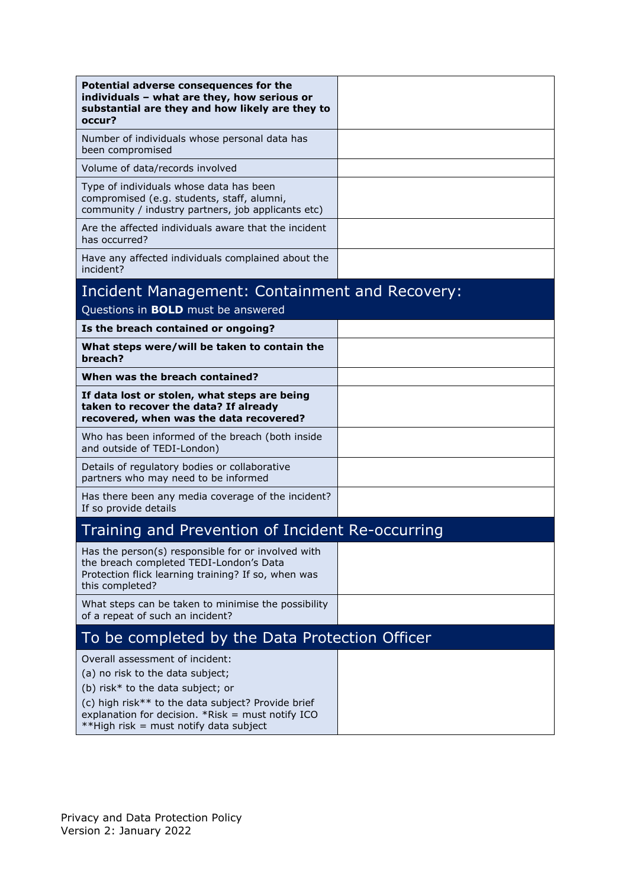| Potential adverse consequences for the<br>individuals - what are they, how serious or<br>substantial are they and how likely are they to<br>occur?                                                                                                             |  |
|----------------------------------------------------------------------------------------------------------------------------------------------------------------------------------------------------------------------------------------------------------------|--|
| Number of individuals whose personal data has<br>been compromised                                                                                                                                                                                              |  |
| Volume of data/records involved                                                                                                                                                                                                                                |  |
| Type of individuals whose data has been<br>compromised (e.g. students, staff, alumni,<br>community / industry partners, job applicants etc)                                                                                                                    |  |
| Are the affected individuals aware that the incident<br>has occurred?                                                                                                                                                                                          |  |
| Have any affected individuals complained about the<br>incident?                                                                                                                                                                                                |  |
| Incident Management: Containment and Recovery:                                                                                                                                                                                                                 |  |
| Questions in <b>BOLD</b> must be answered                                                                                                                                                                                                                      |  |
| Is the breach contained or ongoing?                                                                                                                                                                                                                            |  |
| What steps were/will be taken to contain the<br>breach?                                                                                                                                                                                                        |  |
| When was the breach contained?                                                                                                                                                                                                                                 |  |
| If data lost or stolen, what steps are being<br>taken to recover the data? If already<br>recovered, when was the data recovered?                                                                                                                               |  |
| Who has been informed of the breach (both inside<br>and outside of TEDI-London)                                                                                                                                                                                |  |
| Details of regulatory bodies or collaborative<br>partners who may need to be informed                                                                                                                                                                          |  |
| Has there been any media coverage of the incident?<br>If so provide details                                                                                                                                                                                    |  |
| Training and Prevention of Incident Re-occurring                                                                                                                                                                                                               |  |
| Has the person(s) responsible for or involved with<br>the breach completed TEDI-London's Data<br>Protection flick learning training? If so, when was<br>this completed?                                                                                        |  |
| What steps can be taken to minimise the possibility<br>of a repeat of such an incident?                                                                                                                                                                        |  |
| To be completed by the Data Protection Officer                                                                                                                                                                                                                 |  |
| Overall assessment of incident:<br>(a) no risk to the data subject;<br>(b) risk* to the data subject; or<br>(c) high risk** to the data subject? Provide brief<br>explanation for decision. $*Risk = must notifyICO$<br>**High risk = must notify data subject |  |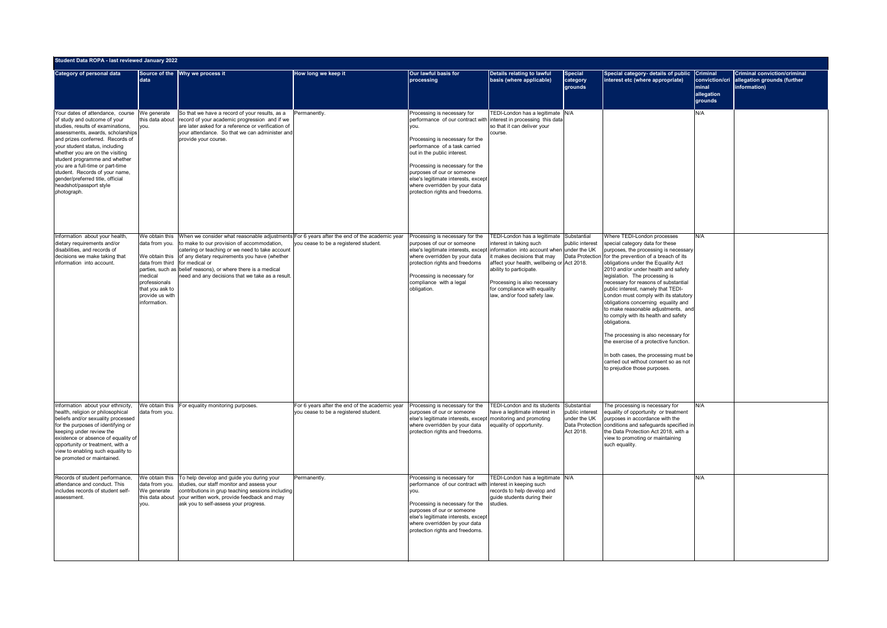|                                                                                                                                                                                                                                                                                                                                                                                                                                          | Student Data ROPA - last reviewed January 2022                                                                                     |                                                                                                                                                                                                                                                                                                                                                                                                   |                                                                                         |                                                                                                                                                                                                                                                                                                                                                                                         |                                                                                                                                                                                                                                                                                                                           |                                                             |                                                                                                                                                                                                                                                                                                                                                                                                                                                                                                                                                                                                                                                                                                                                                  |                                                  |                                                                                    |
|------------------------------------------------------------------------------------------------------------------------------------------------------------------------------------------------------------------------------------------------------------------------------------------------------------------------------------------------------------------------------------------------------------------------------------------|------------------------------------------------------------------------------------------------------------------------------------|---------------------------------------------------------------------------------------------------------------------------------------------------------------------------------------------------------------------------------------------------------------------------------------------------------------------------------------------------------------------------------------------------|-----------------------------------------------------------------------------------------|-----------------------------------------------------------------------------------------------------------------------------------------------------------------------------------------------------------------------------------------------------------------------------------------------------------------------------------------------------------------------------------------|---------------------------------------------------------------------------------------------------------------------------------------------------------------------------------------------------------------------------------------------------------------------------------------------------------------------------|-------------------------------------------------------------|--------------------------------------------------------------------------------------------------------------------------------------------------------------------------------------------------------------------------------------------------------------------------------------------------------------------------------------------------------------------------------------------------------------------------------------------------------------------------------------------------------------------------------------------------------------------------------------------------------------------------------------------------------------------------------------------------------------------------------------------------|--------------------------------------------------|------------------------------------------------------------------------------------|
| <b>Category of personal data</b>                                                                                                                                                                                                                                                                                                                                                                                                         | data                                                                                                                               | Source of the Why we process it                                                                                                                                                                                                                                                                                                                                                                   | How long we keep it                                                                     | Our lawful basis for<br>processing                                                                                                                                                                                                                                                                                                                                                      | Details relating to lawful<br>basis (where applicable)                                                                                                                                                                                                                                                                    | <b>Special</b><br>category<br>grounds                       | Special category- details of public Criminal<br>interest etc (where appropriate)                                                                                                                                                                                                                                                                                                                                                                                                                                                                                                                                                                                                                                                                 | conviction/cri<br>minal<br>allegation<br>grounds | <b>Criminal conviction/criminal</b><br>allegation grounds (further<br>information) |
| Your dates of attendance, course<br>of study and outcome of your<br>studies, results of examinations.<br>assessments, awards, scholarships<br>and prizes conferred. Records of<br>your student status, including<br>whether you are on the visiting<br>student programme and whether<br>you are a full-time or part-time<br>student. Records of your name,<br>gender/preferred title, official<br>headshot/passport style<br>photograph. | We generate<br>this data about<br>you.                                                                                             | So that we have a record of your results, as a<br>record of your academic progression and if we<br>are later asked for a reference or verification of<br>your attendance. So that we can administer and<br>provide your course.                                                                                                                                                                   | Permanently.                                                                            | Processing is necessary for<br>performance of our contract with interest in processing this data<br>you.<br>Processing is necessary for the<br>performance of a task carried<br>out in the public interest.<br>Processing is necessary for the<br>purposes of our or someone<br>else's legitimate interests, except<br>where overridden by your data<br>protection rights and freedoms. | TEDI-London has a legitimate N/A<br>so that it can deliver your<br>course.                                                                                                                                                                                                                                                |                                                             |                                                                                                                                                                                                                                                                                                                                                                                                                                                                                                                                                                                                                                                                                                                                                  | N/A                                              |                                                                                    |
| Information about your health<br>dietary requirements and/or<br>disabilities, and records of<br>decisions we make taking that<br>information into account.                                                                                                                                                                                                                                                                               | data from you.<br>data from third for medical or<br>medical<br>professionals<br>that you ask to<br>provide us with<br>information. | We obtain this When we consider what reasonable adjustments For 6 years after the end of the academic year<br>to make to our provision of accommodation,<br>catering or teaching or we need to take account<br>We obtain this   of any dietary requirements you have (whether<br>parties, such as belief reasons), or where there is a medical<br>need and any decisions that we take as a result | you cease to be a registered student.                                                   | Processing is necessary for the<br>purposes of our or someone<br>else's legitimate interests, except<br>where overridden by your data<br>protection rights and freedoms<br>Processing is necessary for<br>compliance with a legal<br>obligation.                                                                                                                                        | TEDI-London has a legitimate Substantial<br>interest in taking such<br>information into account when under the UK<br>it makes decisions that may<br>affect your health, wellbeing or Act 2018.<br>ability to participate.<br>Processing is also necessary<br>for compliance with equality<br>law, and/or food safety law. | public interest                                             | Where TEDI-London processes<br>special category data for these<br>purposes, the processing is necessary<br>Data Protection for the prevention of a breach of its<br>obligations under the Equality Act<br>2010 and/or under health and safety<br>legislation. The processing is<br>necessary for reasons of substantial<br>public interest, namely that TEDI-<br>London must comply with its statutory<br>obligations concerning equality and<br>to make reasonable adjustments, and<br>to comply with its health and safety<br>obligations.<br>The processing is also necessary for<br>the exercise of a protective function.<br>In both cases, the processing must be<br>carried out without consent so as not<br>to prejudice those purposes. | N/A                                              |                                                                                    |
| Information about your ethnicity,<br>health, religion or philosophical<br>beliefs and/or sexuality processed<br>for the purposes of identifying or<br>keeping under review the<br>existence or absence of equality of<br>opportunity or treatment, with a<br>view to enabling such equality to<br>be promoted or maintained.                                                                                                             | data from you.                                                                                                                     | We obtain this For equality monitoring purposes.                                                                                                                                                                                                                                                                                                                                                  | For 6 years after the end of the academic year<br>you cease to be a registered student. | Processing is necessary for the<br>purposes of our or someone<br>else's legitimate interests, except<br>where overridden by your data<br>protection rights and freedoms.                                                                                                                                                                                                                | TEDI-London and its students<br>have a legitimate interest in<br>monitoring and promoting<br>equality of opportunity.                                                                                                                                                                                                     | Substantial<br>public interest<br>under the UK<br>Act 2018. | The processing is necessary for<br>equality of opportunity or treatment<br>purposes in accordance with the<br>Data Protection conditions and safeguards specified in<br>the Data Protection Act 2018, with a<br>view to promoting or maintaining<br>such equality.                                                                                                                                                                                                                                                                                                                                                                                                                                                                               | N/A                                              |                                                                                    |
| Records of student performance,<br>attendance and conduct. This<br>includes records of student self-<br>assessment.                                                                                                                                                                                                                                                                                                                      | data from you.<br>We generate<br>this data about<br>you.                                                                           | We obtain this To help develop and guide you during your<br>studies, our staff monitor and assess your<br>contributions in grup teaching sessions including<br>your written work, provide feedback and may<br>ask you to self-assess your progress.                                                                                                                                               | Permanently.                                                                            | Processing is necessary for<br>performance of our contract with interest in keeping such<br>you.<br>Processing is necessary for the<br>purposes of our or someone<br>else's legitimate interests, except<br>where overridden by your data<br>protection rights and freedoms.                                                                                                            | TEDI-London has a legitimate N/A<br>records to help develop and<br>guide students during their<br>studies.                                                                                                                                                                                                                |                                                             |                                                                                                                                                                                                                                                                                                                                                                                                                                                                                                                                                                                                                                                                                                                                                  | N/A                                              |                                                                                    |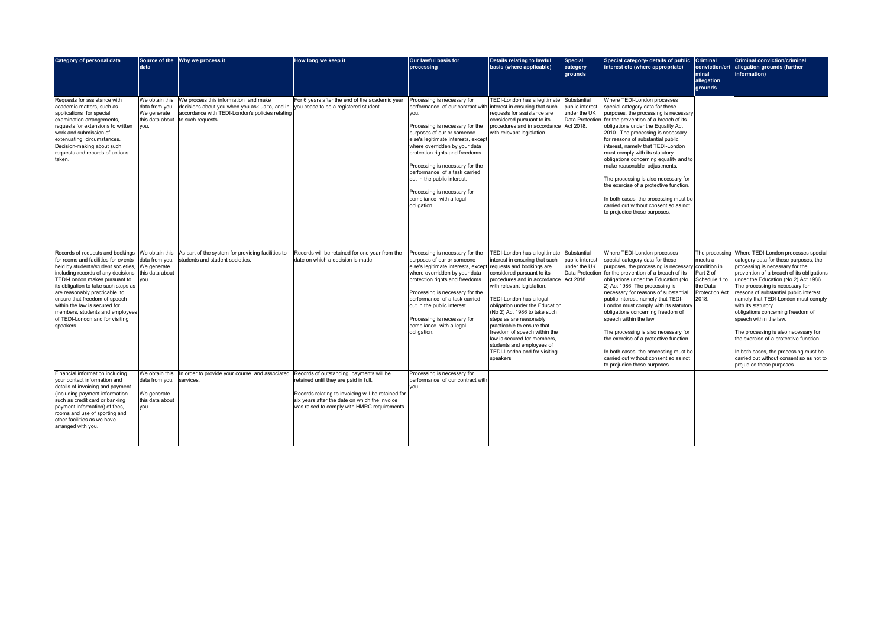| <b>Category of personal data</b>                                                                                                                                                                                                                                                                                                                                                                                    | <b>data</b>                                                        | Source of the Why we process it                                                                                                                                               | How long we keep it                                                                                                                                                                         | Our lawful basis for<br>processing                                                                                                                                                                                                                                                                                                                                                                                              | <b>Details relating to lawful</b><br>basis (where applicable)                                                                                                                                                                                                                                                                                                                                                                                                                          | Special<br>category<br>grounds                                                 | Special category- details of public Criminal<br>interest etc (where appropriate)                                                                                                                                                                                                                                                                                                                                                                                                                                                                                                                                                 | conviction/cri<br><b>Iminal</b><br>allegation<br>grounds                                              | <b>Criminal conviction/criminal</b><br>allegation grounds (further<br>information)                                                                                                                                                                                                                                                                                                                                                                                                                                                                                                                                 |
|---------------------------------------------------------------------------------------------------------------------------------------------------------------------------------------------------------------------------------------------------------------------------------------------------------------------------------------------------------------------------------------------------------------------|--------------------------------------------------------------------|-------------------------------------------------------------------------------------------------------------------------------------------------------------------------------|---------------------------------------------------------------------------------------------------------------------------------------------------------------------------------------------|---------------------------------------------------------------------------------------------------------------------------------------------------------------------------------------------------------------------------------------------------------------------------------------------------------------------------------------------------------------------------------------------------------------------------------|----------------------------------------------------------------------------------------------------------------------------------------------------------------------------------------------------------------------------------------------------------------------------------------------------------------------------------------------------------------------------------------------------------------------------------------------------------------------------------------|--------------------------------------------------------------------------------|----------------------------------------------------------------------------------------------------------------------------------------------------------------------------------------------------------------------------------------------------------------------------------------------------------------------------------------------------------------------------------------------------------------------------------------------------------------------------------------------------------------------------------------------------------------------------------------------------------------------------------|-------------------------------------------------------------------------------------------------------|--------------------------------------------------------------------------------------------------------------------------------------------------------------------------------------------------------------------------------------------------------------------------------------------------------------------------------------------------------------------------------------------------------------------------------------------------------------------------------------------------------------------------------------------------------------------------------------------------------------------|
| Requests for assistance with<br>academic matters, such as<br>applications for special<br>examination arrangements,<br>requests for extensions to written<br>work and submission of<br>extenuating circumstances.<br>Decision-making about such<br>requests and records of actions<br>taken.                                                                                                                         | data from you.<br>We generate<br>this data about<br>/ou.           | We obtain this We process this information and make<br>decisions about you when you ask us to, and in<br>accordance with TEDI-London's policies relating<br>to such requests. | For 6 years after the end of the academic year<br>you cease to be a registered student.                                                                                                     | Processing is necessary for<br>performance of our contract with<br>you.<br>Processing is necessary for the<br>purposes of our or someone<br>else's legitimate interests, except<br>where overridden by your data<br>protection rights and freedoms.<br>Processing is necessary for the<br>performance of a task carried<br>out in the public interest.<br>Processing is necessary for<br>compliance with a legal<br>obligation. | TEDI-London has a legitimate<br>interest in ensuring that such<br>requests for assistance are<br>considered pursuant to its<br>procedures and in accordance<br>with relevant legislation.                                                                                                                                                                                                                                                                                              | Substantial<br>public interest<br>under the UK<br>Data Protection<br>Act 2018. | Where TEDI-London processes<br>special category data for these<br>purposes, the processing is necessary<br>for the prevention of a breach of its<br>obligations under the Equality Act<br>2010. The processing is necessary<br>for reasons of substantial public<br>interest, namely that TEDI-London<br>must comply with its statutory<br>obligations concerning equality and to<br>make reasonable adjustments<br>The processing is also necessary for<br>the exercise of a protective function.<br>In both cases, the processing must be<br>carried out without consent so as not<br>to prejudice those purposes.             |                                                                                                       |                                                                                                                                                                                                                                                                                                                                                                                                                                                                                                                                                                                                                    |
| Records of requests and bookings<br>for rooms and facilities for events<br>held by students/student societies,<br>including records of any decisions<br>TEDI-London makes pursuant to<br>its obligation to take such steps as<br>are reasonably practicable to<br>ensure that freedom of speech<br>within the law is secured for<br>members, students and employees<br>of TEDI-London and for visiting<br>speakers. | data from you.<br>We generate<br>this data about<br>vou.           | We obtain this As part of the system for providing facilities to<br>students and student societies.                                                                           | Records will be retained for one year from the<br>date on which a decision is made.                                                                                                         | Processing is necessary for the<br>purposes of our or someone<br>else's legitimate interests, except<br>where overridden by your data<br>protection rights and freedoms<br>Processing is necessary for the<br>performance of a task carried<br>out in the public interest.<br>Processing is necessary for<br>compliance with a legal<br>obligation.                                                                             | TEDI-London has a legitimate<br>interest in ensuring that such<br>requests and bookings are<br>considered pursuant to its<br>procedures and in accordance<br>with relevant legislation.<br>TEDI-London has a legal<br>obligation under the Education<br>(No 2) Act 1986 to take such<br>steps as are reasonably<br>practicable to ensure that<br>freedom of speech within the<br>law is secured for members,<br>students and employees of<br>TEDI-London and for visiting<br>speakers. | Substantial<br>public interest<br>under the UK<br>Data Protection<br>Act 2018. | Where TEDI-London processes<br>special category data for these<br>purposes, the processing is necessary condition in<br>for the prevention of a breach of its<br>obligations under the Education (No<br>2) Act 1986. The processing is<br>necessary for reasons of substantial<br>public interest, namely that TEDI-<br>London must comply with its statutory<br>obligations concerning freedom of<br>speech within the law.<br>The processing is also necessary for<br>the exercise of a protective function.<br>In both cases, the processing must be<br>carried out without consent so as not<br>to prejudice those purposes. | The processing<br>meets a<br>Part 2 of<br>Schedule 1 to<br>the Data<br><b>Protection Act</b><br>2018. | Where TEDI-London processes special<br>category data for these purposes, the<br>processing is necessary for the<br>prevention of a breach of its obligations<br>under the Education (No 2) Act 1986.<br>The processing is necessary for<br>reasons of substantial public interest,<br>namely that TEDI-London must comply<br>with its statutory<br>obligations concerning freedom of<br>speech within the law.<br>The processing is also necessary for<br>the exercise of a protective function.<br>In both cases, the processing must be<br>carried out without consent so as not to<br>prejudice those purposes. |
| Financial information including<br>your contact information and<br>details of invoicing and payment<br>(including payment information<br>such as credit card or banking<br>payment information) of fees,<br>rooms and use of sporting and<br>other facilities as we have<br>arranged with you.                                                                                                                      | data from you. services.<br>We generate<br>this data about<br>you. | We obtain this In order to provide your course and associated Records of outstanding payments will be                                                                         | retained until they are paid in full.<br>Records relating to invoicing will be retained for<br>six years after the date on which the invoice<br>was raised to comply with HMRC requirements | Processing is necessary for<br>performance of our contract with<br>you.                                                                                                                                                                                                                                                                                                                                                         |                                                                                                                                                                                                                                                                                                                                                                                                                                                                                        |                                                                                |                                                                                                                                                                                                                                                                                                                                                                                                                                                                                                                                                                                                                                  |                                                                                                       |                                                                                                                                                                                                                                                                                                                                                                                                                                                                                                                                                                                                                    |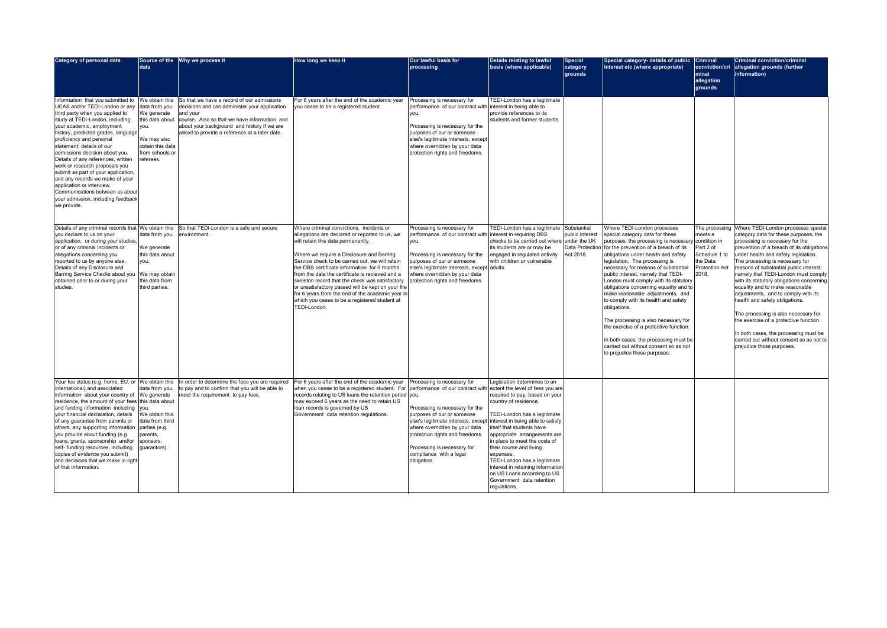| <b>Category of personal data</b>                                                                                                                                                                                                                                                                                                                                                                                                                                                                                                                                               | data                                                                                                                                          | Source of the Why we process it                                                                                                                                                                                                                         | How long we keep it                                                                                                                                                                                                                                                                                                                                                                                                                                                                                                                                               | Our lawful basis for<br>processing                                                                                                                                                                                                                                                                                                                                                      | <b>Details relating to lawful</b><br>basis (where applicable)                                                                                                                                                                                                                                                                                                                                                  | <b>Special</b><br>category<br>grounds                           | Special category- details of public Criminal<br>interest etc (where appropriate)                                                                                                                                                                                                                                                                                                                                                                                                                                                                                                                                                                                                           | conviction/cri<br><b>Iminal</b><br>allegation<br>grounds                                                              | <b>Criminal conviction/criminal</b><br>allegation grounds (further<br>information)                                                                                                                                                                                                                                                                                                                                                                                                                                                                                                                                                                                                     |
|--------------------------------------------------------------------------------------------------------------------------------------------------------------------------------------------------------------------------------------------------------------------------------------------------------------------------------------------------------------------------------------------------------------------------------------------------------------------------------------------------------------------------------------------------------------------------------|-----------------------------------------------------------------------------------------------------------------------------------------------|---------------------------------------------------------------------------------------------------------------------------------------------------------------------------------------------------------------------------------------------------------|-------------------------------------------------------------------------------------------------------------------------------------------------------------------------------------------------------------------------------------------------------------------------------------------------------------------------------------------------------------------------------------------------------------------------------------------------------------------------------------------------------------------------------------------------------------------|-----------------------------------------------------------------------------------------------------------------------------------------------------------------------------------------------------------------------------------------------------------------------------------------------------------------------------------------------------------------------------------------|----------------------------------------------------------------------------------------------------------------------------------------------------------------------------------------------------------------------------------------------------------------------------------------------------------------------------------------------------------------------------------------------------------------|-----------------------------------------------------------------|--------------------------------------------------------------------------------------------------------------------------------------------------------------------------------------------------------------------------------------------------------------------------------------------------------------------------------------------------------------------------------------------------------------------------------------------------------------------------------------------------------------------------------------------------------------------------------------------------------------------------------------------------------------------------------------------|-----------------------------------------------------------------------------------------------------------------------|----------------------------------------------------------------------------------------------------------------------------------------------------------------------------------------------------------------------------------------------------------------------------------------------------------------------------------------------------------------------------------------------------------------------------------------------------------------------------------------------------------------------------------------------------------------------------------------------------------------------------------------------------------------------------------------|
| Information that you submitted to<br>UCAS and/or TEDI-London or any<br>third party when you applied to<br>study at TEDI-London, including<br>your academic, employment<br>history, predicted grades, language<br>proficiency and personal<br>statement; details of our<br>admissions decision about you.<br>Details of any references, written<br>work or research proposals you<br>submit as part of your application,<br>and any records we make of your<br>application or interview.<br>Communications between us abou<br>your admission, including feedback<br>we provide. | We obtain this<br>data from you.<br>We generate<br>this data about<br>you.<br>We may also<br>obtain this data<br>from schools or<br>referees. | So that we have a record of our admissions<br>decisions and can administer your application<br>and your<br>course. Also so that we have information and<br>about your background and history if we are<br>asked to provide a reference at a later date. | For 6 years after the end of the academic year<br>you cease to be a registered student.                                                                                                                                                                                                                                                                                                                                                                                                                                                                           | Processing is necessary for<br>performance of our contract with interest in being able to<br>Ivou.<br>Processing is necessary for the<br>purposes of our or someone<br>else's legitimate interests, except<br>where overridden by your data<br>protection rights and freedoms.                                                                                                          | TEDI-London has a legitimate<br>provide references to its<br>students and former students.                                                                                                                                                                                                                                                                                                                     |                                                                 |                                                                                                                                                                                                                                                                                                                                                                                                                                                                                                                                                                                                                                                                                            |                                                                                                                       |                                                                                                                                                                                                                                                                                                                                                                                                                                                                                                                                                                                                                                                                                        |
| Details of any criminal records that We obtain this<br>you declare to us on your<br>application, or during your studies,<br>or of any criminal incidents or<br>allegations concerning you<br>reported to us by anyone else.<br>Details of any Disclosure and<br>Barring Service Checks about you<br>obtained prior to or during your<br>studies.                                                                                                                                                                                                                               | data from you.<br>We generate<br>this data about<br>you.<br>We may obtain<br>this data from<br>third parties.                                 | So that TEDI-London is a safe and secure<br>environment.                                                                                                                                                                                                | Where criminal convictions, incidents or<br>allegations are declared or reported to us, we<br>will retain this data permanently.<br>Where we require a Disclosure and Barring<br>Service check to be carried out, we will retain<br>the DBS certificate information for 6 months<br>from the date the certificate is recieved and a<br>skeleton record that the check was satisfactory<br>or unsatisfactory passed will be kept on your file<br>for 6 years from the end of the academic year in<br>which you cease to be a registered student at<br>TEDI-London. | Processing is necessary for<br>performance of our contract with interest in requiring DBS<br>you.<br>Processing is necessary for the<br>purposes of our or someone<br>else's legitimate interests, except adults.<br>where overridden by your data<br>protection rights and freedoms.                                                                                                   | TEDI-London has a legitimate Substantial<br>checks to be carried out where<br>its students are or may be<br>engaged in regulated activity<br>with children or vulnerable                                                                                                                                                                                                                                       | public interest<br>under the UK<br>Data Protection<br>Act 2018. | Where TEDI-London processes<br>special category data for these<br>purposes, the processing is necessary<br>for the prevention of a breach of its<br>obligations under health and safety<br>legislation. The processing is<br>necessary for reasons of substantial<br>public interest, namely that TEDI-<br>London must comply with its statutory<br>obligations concerning equality and to<br>make reasonable adjustments, and<br>to comply with its health and safety<br>obligations.<br>The processing is also necessary for<br>the exercise of a protective function.<br>In both cases, the processing must be<br>carried out without consent so as not<br>to prejudice those purposes. | The processing<br>meets a<br>condition in<br>Part 2 of<br>Schedule 1 to<br>the Data<br><b>Protection Act</b><br>2018. | Where TEDI-London processes special<br>category data for these purposes, the<br>processing is necessary for the<br>prevention of a breach of its obligations<br>under health and safety legislation.<br>The processing is necessary for<br>reasons of substantial public interest,<br>namely that TEDI-London must comply<br>with its statutory obligations concerning<br>equality and to make reasonable<br>adjustments, and to comply with its<br>health and safety obligations.<br>The processing is also necessary for<br>the exercise of a protective function.<br>In both cases, the processing must be<br>carried out without consent so as not to<br>prejudice those purposes. |
| Your fee status (e.g. home, EU, or We obtain this<br>international) and associated<br>information about your country of We generate<br>residence, the amount of your fees this data about<br>and funding information including you.<br>your financial declaration, details<br>of any guarantee from parents or<br>others, any supporting information<br>you provide about funding (e.g.<br>loans, grants, sponsorship and/or<br>self- funding resources, including<br>copies of evidence you submit)<br>and decisions that we make in light<br>of that information.            | data from you.<br>We obtain this<br>data from third<br>parties (e.g.<br>parents,<br>sponsors,<br>guarantors).                                 | In order to determine the fees you are required<br>to pay and to confirm that you will be able to<br>meet the requirement to pay fees.                                                                                                                  | For 6 years after the end of the academic year<br>when you cease to be a registered student. For<br>records relating to US loans the retention period you.<br>may exceed 6 years as the need to retain US<br>loan records is governed by US<br>Government data retention regulations.                                                                                                                                                                                                                                                                             | Processing is necessary for<br>performance of our contract with extent the level of fees you are<br>Processing is necessary for the<br>purposes of our or someone<br>else's legitimate interests, except interest in being able to satisfy<br>where overridden by your data<br>protection rights and freedoms.<br>Processing is necessary for<br>compliance with a legal<br>obligation. | Legislation determines to an<br>required to pay, based on your<br>country of residence.<br>TEDI-London has a legitimate<br>itself that students have<br>appropriate arrangements are<br>in place to meet the costs of<br>their course and living<br>expenses.<br>TEDI-London has a legitimate<br>interest in retaining information<br>on US Loans according to US<br>Government data retention<br>regulations. |                                                                 |                                                                                                                                                                                                                                                                                                                                                                                                                                                                                                                                                                                                                                                                                            |                                                                                                                       |                                                                                                                                                                                                                                                                                                                                                                                                                                                                                                                                                                                                                                                                                        |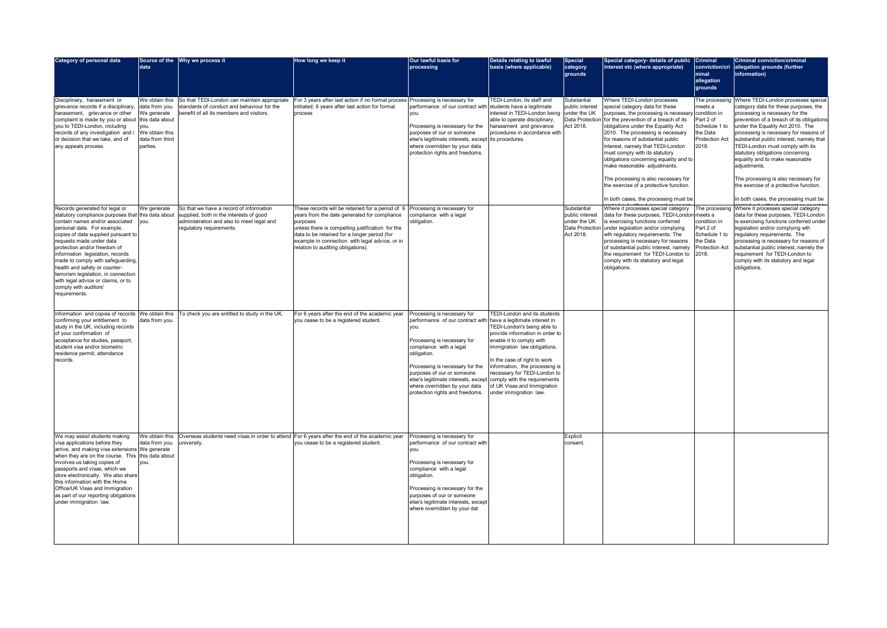| <b>Category of personal data</b>                                                                                                                                                                                                                                                                                                                                                                                                                                                            | Source of the<br>data                                                                             | <b>Why we process it</b>                                                                                                                                    | How long we keep it                                                                                                                                                                                                                                                                                      | Our lawful basis for<br>processing                                                                                                                                                                                                                                                                                                                                                       | Details relating to lawful<br>basis (where applicable)                                                                                                                                                                                                                                                                       | <b>Special</b><br>category<br>grounds                                          | Special category- details of public<br>interest etc (where appropriate)                                                                                                                                                                                                                                                                                                                                                                                                                                                                                 | <b>Criminal</b><br>conviction/cri<br>minal<br>allegation<br>grounds                                        | <b>Criminal conviction/criminal</b><br>allegation grounds (further<br>information)                                                                                                                                                                                                                                                                                                                                                                                                                                                           |
|---------------------------------------------------------------------------------------------------------------------------------------------------------------------------------------------------------------------------------------------------------------------------------------------------------------------------------------------------------------------------------------------------------------------------------------------------------------------------------------------|---------------------------------------------------------------------------------------------------|-------------------------------------------------------------------------------------------------------------------------------------------------------------|----------------------------------------------------------------------------------------------------------------------------------------------------------------------------------------------------------------------------------------------------------------------------------------------------------|------------------------------------------------------------------------------------------------------------------------------------------------------------------------------------------------------------------------------------------------------------------------------------------------------------------------------------------------------------------------------------------|------------------------------------------------------------------------------------------------------------------------------------------------------------------------------------------------------------------------------------------------------------------------------------------------------------------------------|--------------------------------------------------------------------------------|---------------------------------------------------------------------------------------------------------------------------------------------------------------------------------------------------------------------------------------------------------------------------------------------------------------------------------------------------------------------------------------------------------------------------------------------------------------------------------------------------------------------------------------------------------|------------------------------------------------------------------------------------------------------------|----------------------------------------------------------------------------------------------------------------------------------------------------------------------------------------------------------------------------------------------------------------------------------------------------------------------------------------------------------------------------------------------------------------------------------------------------------------------------------------------------------------------------------------------|
| Disciplinary, harassment or<br>grievance records if a disciplinary,<br>harassment, grievance or other<br>complaint is made by you or about<br>you to TEDI-London, including<br>records of any investigation and /<br>or decision that we take, and of<br>any appeals process.                                                                                                                                                                                                               | data from you.<br>We generate<br>this data about<br>We obtain this<br>data from third<br>parties. | We obtain this So that TEDI-London can maintain appropriate<br>standards of conduct and behaviour for the<br>benefit of all its members and visitors.       | For 3 years after last action if no formal process Processing is necessary for<br>initiated; 6 years after last action for formal<br>process                                                                                                                                                             | performance of our contract with students have a legitimate<br>lyou.<br>Processing is necessary for the<br>purposes of our or someone<br>else's legitimate interests, except lits procedures.<br>where overridden by your data<br>protection rights and freedoms.                                                                                                                        | TEDI-London, its staff and<br>interest in TEDI-London being<br>able to operate disciplinary,<br>harassment and grievance<br>procedures in accordance with                                                                                                                                                                    | Substantial<br>public interest<br>under the UK<br>Data Protection<br>Act 2018. | Where TEDI-London processes<br>special category data for these<br>purposes, the processing is necessary condition in<br>for the prevention of a breach of its<br>obligations under the Equality Act<br>2010. The processing is necessary<br>for reasons of substantial public<br>interest, namely that TEDI-London<br>must comply with its statutory<br>obligations concerning equality and to<br>make reasonable adjustments<br>The processing is also necessary for<br>the exercise of a protective function<br>In both cases, the processing must be | The processing<br>meets a<br>Part 2 of<br>Schedule 1 to<br>the Data<br><b>Protection Act</b><br>2018.      | Where TEDI-London processes special<br>category data for these purposes, the<br>processing is necessary for the<br>prevention of a breach of its obligations<br>under the Equality Act 2010. The<br>processing is necessary for reasons of<br>substantial public interest, namely that<br>TEDI-London must comply with its<br>statutory obligations concerning<br>equality and to make reasonable<br>adjustments.<br>The processing is also necessary for<br>the exercise of a protective function.<br>In both cases, the processing must be |
| Records generated for legal or<br>statutory compliance purposes that this data about<br>contain names and/or associated<br>personal data. For example,<br>copies of data supplied pursuant to<br>requests made under data<br>protection and/or freedom of<br>information legislation, records<br>made to comply with safeguarding.<br>health and safety or counter-<br>terrorism legislation, in connection<br>with legal advice or claims, or to<br>comply with auditors'<br>requirements. | We generate<br>you.                                                                               | So that we have a record of information<br>supplied, both in the interests of good<br>administration and also to meet legal and<br>regulatory requirements. | These records will be retained for a period of 6<br>years from the date generated for compliance<br>purposes<br>unless there is compelling justification for the<br>data to be retained for a longer period (for<br>example in connection with legal advice, or in<br>relation to auditing obligations). | Processing is necessary for<br>compliance with a legal<br>obligation.                                                                                                                                                                                                                                                                                                                    |                                                                                                                                                                                                                                                                                                                              | Substantial<br>public interes<br>under the UK<br>Act 2018.                     | Where it processes special category<br>data for these purposes, TEDI-London meets a<br>is exercising functions conferred<br>Data Protection under legislation and/or complying<br>wth regulatory requirements. The<br>processing is necessary for reasons<br>of substantial public interest, namely<br>the requirement for TEDI-London to<br>comply with its statutory and legal<br>obligations.                                                                                                                                                        | The processing<br>condition in<br>Part 2 of<br>Schedule 1 to<br>the Data<br><b>Protection Act</b><br>2018. | Where it processes special category<br>data for these purposes, TEDI-London<br>is exercising functions conferred under<br>legislation and/or complying wth<br>regulatory requirements. The<br>processing is necessary for reasons of<br>substantial public interest, namely the<br>requirement for TEDI-London to<br>comply with its statutory and legal<br>obligations.                                                                                                                                                                     |
| confirming your entitlement to<br>study in the UK, including records<br>of your confirmation of<br>acceptance for studies, passport,<br>student visa and/or biometric<br>residence permit, attendance<br>records.                                                                                                                                                                                                                                                                           | data from you.                                                                                    | Information and copies of records We obtain this   To check you are entitled to study in the UK                                                             | For 6 years after the end of the academic year<br>you cease to be a registered student.                                                                                                                                                                                                                  | Processing is necessary for<br>performance of our contract with have a legitimate interest in<br>Iyou.<br>Processing is necessary for<br>compliance with a legal<br>obligation.<br>Processing is necessary for the<br>purposes of our or someone<br>else's legitimate interests, except comply with the requirements<br>where overridden by your data<br>protection rights and freedoms. | <b>TEDI-London and its students</b><br>TEDI-London's being able to<br>provide information in order to<br>enable it to comply with<br>immigration law obligations.<br>In the case of right to work<br>information, the processing is<br>necessary for TEDI-London to<br>of UK Visas and Immigration<br>under immigration law. |                                                                                |                                                                                                                                                                                                                                                                                                                                                                                                                                                                                                                                                         |                                                                                                            |                                                                                                                                                                                                                                                                                                                                                                                                                                                                                                                                              |
| We may assist students making<br>visa applications before they<br>arrive, and making visa extensions We generate<br>when they are on the course. This this data about<br>involves us taking copies of<br>passports and visas, which we<br>store electronically. We also share<br>this information with the Home<br>Office/UK Visas and Immigration<br>as part of our reporting obligations<br>under immigration law.                                                                        | We obtain this<br>data from you. university.<br>you.                                              | Overseas students need visas in order to attend For 6 years after the end of the academic year                                                              | you cease to be a registered student.                                                                                                                                                                                                                                                                    | Processing is necessary for<br>performance of our contract with<br>lyou.<br>Processing is necessary for<br>compliance with a legal<br>obligation.<br>Processing is necessary for the<br>purposes of our or someone<br>else's legitimate interests, except<br>where overridden by your dat                                                                                                |                                                                                                                                                                                                                                                                                                                              | <b>Explicit</b><br>consent.                                                    |                                                                                                                                                                                                                                                                                                                                                                                                                                                                                                                                                         |                                                                                                            |                                                                                                                                                                                                                                                                                                                                                                                                                                                                                                                                              |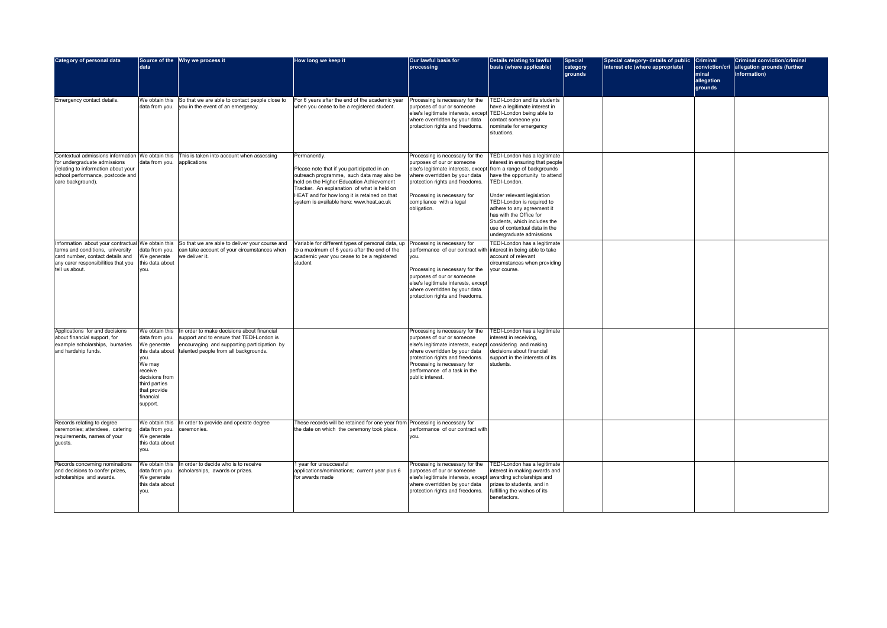| <b>Category of personal data</b>                                                                                                                                                 | data                                                                                                                                                                        | Source of the Why we process it                                                                                                                                                 | How long we keep it                                                                                                                                                                                                                                                                           | Our lawful basis for<br>processing                                                                                                                                                                                                                                                 | <b>Details relating to lawful</b><br>basis (where applicable)                                                                                                                                                                                                                                                                        | <b>Special</b><br>category<br>grounds | Special category- details of public<br>interest etc (where appropriate) | <b>Criminal</b><br>conviction/cri<br>minal<br>allegation<br>grounds | <b>Criminal conviction/criminal</b><br>allegation grounds (further<br>information) |
|----------------------------------------------------------------------------------------------------------------------------------------------------------------------------------|-----------------------------------------------------------------------------------------------------------------------------------------------------------------------------|---------------------------------------------------------------------------------------------------------------------------------------------------------------------------------|-----------------------------------------------------------------------------------------------------------------------------------------------------------------------------------------------------------------------------------------------------------------------------------------------|------------------------------------------------------------------------------------------------------------------------------------------------------------------------------------------------------------------------------------------------------------------------------------|--------------------------------------------------------------------------------------------------------------------------------------------------------------------------------------------------------------------------------------------------------------------------------------------------------------------------------------|---------------------------------------|-------------------------------------------------------------------------|---------------------------------------------------------------------|------------------------------------------------------------------------------------|
| Emergency contact details.                                                                                                                                                       | data from you.                                                                                                                                                              | We obtain this So that we are able to contact people close to<br>you in the event of an emergency.                                                                              | For 6 years after the end of the academic year<br>when you cease to be a registered student.                                                                                                                                                                                                  | Processing is necessary for the<br>purposes of our or someone<br>else's legitimate interests, except<br>where overridden by your data<br>protection rights and freedoms                                                                                                            | <b>TEDI-London and its students</b><br>have a legitimate interest in<br>TEDI-London being able to<br>contact someone you<br>nominate for emergency<br>situations.                                                                                                                                                                    |                                       |                                                                         |                                                                     |                                                                                    |
| Contextual admissions information We obtain this<br>for undergraduate admissions<br>(relating to information about your<br>school performance, postcode and<br>care background). | data from you.                                                                                                                                                              | This is taken into account when assessing<br>applications                                                                                                                       | Permanently.<br>Please note that if you participated in an<br>outreach programme, such data may also be<br>held on the Higher Education Achievement<br>Tracker. An explanation of what is held on<br>HEAT and for how long it is retained on that<br>system is available here: www.heat.ac.uk | Processing is necessary for the<br>purposes of our or someone<br>else's legitimate interests, except from a range of backgrounds<br>where overridden by your data<br>protection rights and freedoms.<br>Processing is necessary for<br>compliance with a legal<br>obligation.      | TEDI-London has a legitimate<br>interest in ensuring that people<br>have the opportunity to attend<br>TEDI-London.<br>Under relevant legislation<br>TEDI-London is required to<br>adhere to any agreement it<br>has with the Office for<br>Students, which includes the<br>use of contextual data in the<br>undergraduate admissions |                                       |                                                                         |                                                                     |                                                                                    |
| Information about your contractual<br>terms and conditions, university<br>card number, contact details and<br>any carer responsibilities that you<br>tell us about.              | We obtain this<br>data from you.<br>We generate<br>this data about<br>you.                                                                                                  | So that we are able to deliver your course and<br>can take account of your circumstances when<br>we deliver it.                                                                 | Variable for different types of personal data, up<br>to a maximum of 6 years after the end of the<br>academic year you cease to be a registered<br>student                                                                                                                                    | Processing is necessary for<br>performance of our contract with interest in being able to take<br>you.<br>Processing is necessary for the<br>purposes of our or someone<br>else's legitimate interests, except<br>where overridden by your data<br>protection rights and freedoms. | TEDI-London has a legitimate<br>account of relevant<br>circumstances when providing<br>your course.                                                                                                                                                                                                                                  |                                       |                                                                         |                                                                     |                                                                                    |
| Applications for and decisions<br>about financial support, for<br>example scholarships, bursaries<br>and hardship funds.                                                         | We obtain this<br>data from you.<br>We generate<br>this data about<br>you.<br>We may<br>receive<br>decisions from<br>third parties<br>that provide<br>financial<br>support. | In order to make decisions about financial<br>support and to ensure that TEDI-London is<br>encouraging and supporting participation by<br>talented people from all backgrounds. |                                                                                                                                                                                                                                                                                               | Processing is necessary for the<br>purposes of our or someone<br>else's legitimate interests, except considering and making<br>where overridden by your data<br>protection rights and freedoms<br>Processing is necessary for<br>performance of a task in the<br>public interest.  | TEDI-London has a legitimate<br>interest in receiving,<br>decisions about financial<br>support in the interests of its<br>students.                                                                                                                                                                                                  |                                       |                                                                         |                                                                     |                                                                                    |
| Records relating to degree<br>ceremonies; attendees, catering<br>requirements, names of your<br>guests.                                                                          | We obtain this<br>data from you.<br>We generate<br>this data about<br>you.                                                                                                  | In order to provide and operate degree<br>ceremonies.                                                                                                                           | These records will be retained for one year from Processing is necessary for<br>the date on which the ceremony took place.                                                                                                                                                                    | performance of our contract with<br>you.                                                                                                                                                                                                                                           |                                                                                                                                                                                                                                                                                                                                      |                                       |                                                                         |                                                                     |                                                                                    |
| Records concerning nominations<br>and decisions to confer prizes,<br>scholarships and awards.                                                                                    | We obtain this<br>data from you.<br>We generate<br>this data about<br>you.                                                                                                  | In order to decide who is to receive<br>scholarships, awards or prizes.                                                                                                         | 1 year for unsuccessful<br>applications/nominations; current year plus 6<br>for awards made                                                                                                                                                                                                   | Processing is necessary for the<br>purposes of our or someone<br>else's legitimate interests, except awarding scholarships and<br>where overridden by your data<br>protection rights and freedoms.                                                                                 | TEDI-London has a legitimate<br>interest in making awards and<br>prizes to students, and in<br>fulfilling the wishes of its<br>benefactors.                                                                                                                                                                                          |                                       |                                                                         |                                                                     |                                                                                    |